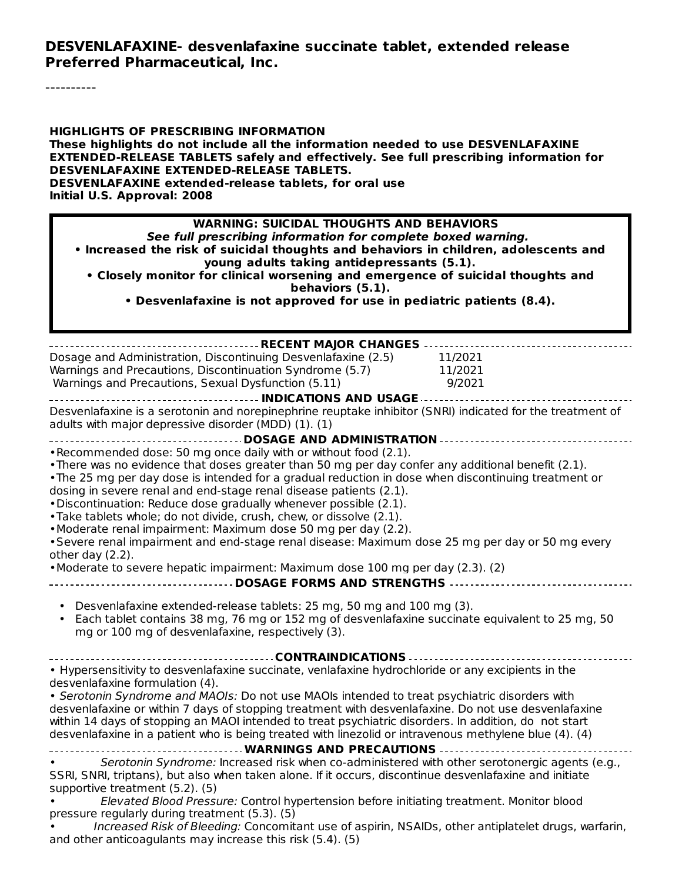#### **DESVENLAFAXINE- desvenlafaxine succinate tablet, extended release Preferred Pharmaceutical, Inc.**

----------

**HIGHLIGHTS OF PRESCRIBING INFORMATION These highlights do not include all the information needed to use DESVENLAFAXINE EXTENDED-RELEASE TABLETS safely and effectively. See full prescribing information for DESVENLAFAXINE EXTENDED-RELEASE TABLETS. DESVENLAFAXINE extended-release tablets, for oral use Initial U.S. Approval: 2008 WARNING: SUICIDAL THOUGHTS AND BEHAVIORS See full prescribing information for complete boxed warning. • Increased the risk of suicidal thoughts and behaviors in children, adolescents and young adults taking antidepressants (5.1). • Closely monitor for clinical worsening and emergence of suicidal thoughts and behaviors (5.1). • Desvenlafaxine is not approved for use in pediatric patients (8.4). RECENT MAJOR CHANGES** Dosage and Administration, Discontinuing Desvenlafaxine (2.5) 11/2021 Warnings and Precautions, Discontinuation Syndrome (5.7) 11/2021<br>Warnings and Precautions, Sexual Dysfunction (5.11) 9/2021 Warnings and Precautions, Sexual Dysfunction (5.11) **INDICATIONS AND USAGE** Desvenlafaxine is a serotonin and norepinephrine reuptake inhibitor (SNRI) indicated for the treatment of adults with major depressive disorder (MDD) (1). (1) **DOSAGE AND ADMINISTRATION** •Recommended dose: 50 mg once daily with or without food (2.1). •There was no evidence that doses greater than 50 mg per day confer any additional benefit (2.1). •The 25 mg per day dose is intended for a gradual reduction in dose when discontinuing treatment or dosing in severe renal and end-stage renal disease patients (2.1). •Discontinuation: Reduce dose gradually whenever possible (2.1). •Take tablets whole; do not divide, crush, chew, or dissolve (2.1). •Moderate renal impairment: Maximum dose 50 mg per day (2.2). •Severe renal impairment and end-stage renal disease: Maximum dose 25 mg per day or 50 mg every other day (2.2). •Moderate to severe hepatic impairment: Maximum dose 100 mg per day (2.3). (2) **DOSAGE FORMS AND STRENGTHS** • Desvenlafaxine extended-release tablets: 25 mg, 50 mg and 100 mg (3). • **CONTRAINDICATIONS** • Hypersensitivity to desvenlafaxine succinate, venlafaxine hydrochloride or any excipients in the desvenlafaxine formulation (4). • Serotonin Syndrome and MAOIs: Do not use MAOIs intended to treat psychiatric disorders with desvenlafaxine or within 7 days of stopping treatment with desvenlafaxine. Do not use desvenlafaxine within 14 days of stopping an MAOI intended to treat psychiatric disorders. In addition, do not start desvenlafaxine in a patient who is being treated with linezolid or intravenous methylene blue (4). (4) **WARNINGS AND PRECAUTIONS** • Serotonin Syndrome: Increased risk when co-administered with other serotonergic agents (e.g., SSRI, SNRI, triptans), but also when taken alone. If it occurs, discontinue desvenlafaxine and initiate supportive treatment (5.2). (5) • Elevated Blood Pressure: Control hypertension before initiating treatment. Monitor blood pressure regularly during treatment (5.3). (5) • Increased Risk of Bleeding: Concomitant use of aspirin, NSAIDs, other antiplatelet drugs, warfarin, and other anticoagulants may increase this risk (5.4). (5) Each tablet contains 38 mg, 76 mg or 152 mg of desvenlafaxine succinate equivalent to 25 mg, 50 mg or 100 mg of desvenlafaxine, respectively (3).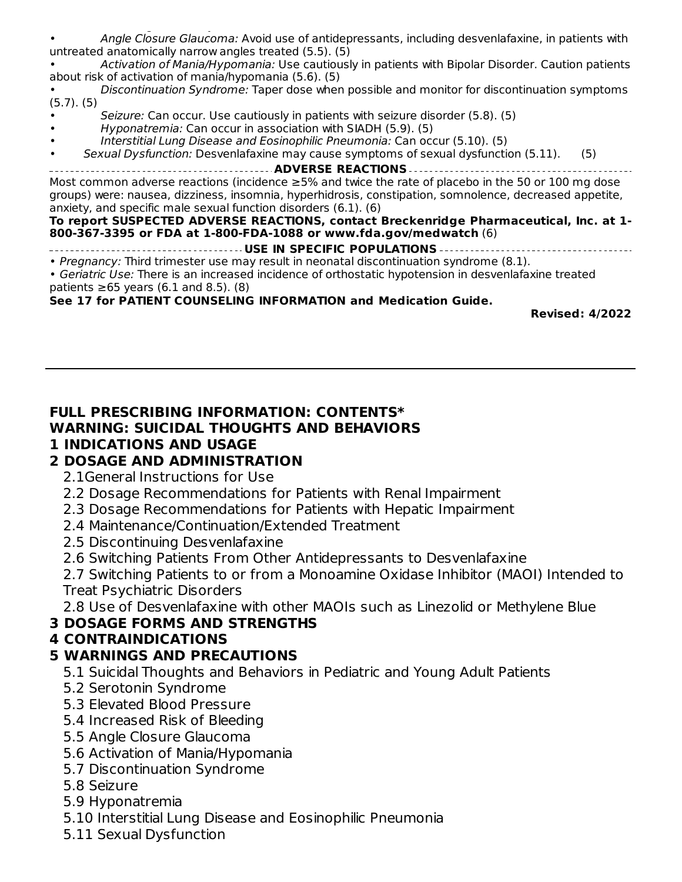and other anticoagulants may increase this risk (5.4). (5) • Angle Closure Glaucoma: Avoid use of antidepressants, including desvenlafaxine, in patients with untreated anatomically narrow angles treated (5.5). (5)

Activation of Mania/Hypomania: Use cautiously in patients with Bipolar Disorder. Caution patients about risk of activation of mania/hypomania (5.6). (5)

Discontinuation Syndrome: Taper dose when possible and monitor for discontinuation symptoms (5.7). (5)

- Seizure: Can occur. Use cautiously in patients with seizure disorder (5.8). (5)
- Hyponatremia: Can occur in association with SIADH (5.9). (5)
- Interstitial Lung Disease and Eosinophilic Pneumonia: Can occur (5.10). (5)
- Sexual Dysfunction: Desvenlafaxine may cause symptoms of sexual dysfunction (5.11). (5)

**ADVERSE REACTIONS** Most common adverse reactions (incidence ≥5% and twice the rate of placebo in the 50 or 100 mg dose groups) were: nausea, dizziness, insomnia, hyperhidrosis, constipation, somnolence, decreased appetite, anxiety, and specific male sexual function disorders (6.1). (6)

#### **To report SUSPECTED ADVERSE REACTIONS, contact Breckenridge Pharmaceutical, Inc. at 1- 800-367-3395 or FDA at 1-800-FDA-1088 or www.fda.gov/medwatch** (6)

- **USE IN SPECIFIC POPULATIONS**
- Pregnancy: Third trimester use may result in neonatal discontinuation syndrome (8.1).

• Geriatric Use: There is an increased incidence of orthostatic hypotension in desvenlafaxine treated patients  $≥65$  years (6.1 and 8.5). (8)

**See 17 for PATIENT COUNSELING INFORMATION and Medication Guide.**

**Revised: 4/2022**

#### **FULL PRESCRIBING INFORMATION: CONTENTS\* WARNING: SUICIDAL THOUGHTS AND BEHAVIORS**

### **1 INDICATIONS AND USAGE**

### **2 DOSAGE AND ADMINISTRATION**

- 2.1General Instructions for Use
- 2.2 Dosage Recommendations for Patients with Renal Impairment
- 2.3 Dosage Recommendations for Patients with Hepatic Impairment
- 2.4 Maintenance/Continuation/Extended Treatment
- 2.5 Discontinuing Desvenlafaxine
- 2.6 Switching Patients From Other Antidepressants to Desvenlafaxine

2.7 Switching Patients to or from a Monoamine Oxidase Inhibitor (MAOI) Intended to Treat Psychiatric Disorders

2.8 Use of Desvenlafaxine with other MAOIs such as Linezolid or Methylene Blue

### **3 DOSAGE FORMS AND STRENGTHS**

### **4 CONTRAINDICATIONS**

### **5 WARNINGS AND PRECAUTIONS**

- 5.1 Suicidal Thoughts and Behaviors in Pediatric and Young Adult Patients
- 5.2 Serotonin Syndrome
- 5.3 Elevated Blood Pressure
- 5.4 Increased Risk of Bleeding
- 5.5 Angle Closure Glaucoma
- 5.6 Activation of Mania/Hypomania
- 5.7 Discontinuation Syndrome
- 5.8 Seizure
- 5.9 Hyponatremia
- 5.10 Interstitial Lung Disease and Eosinophilic Pneumonia
- 5.11 Sexual Dysfunction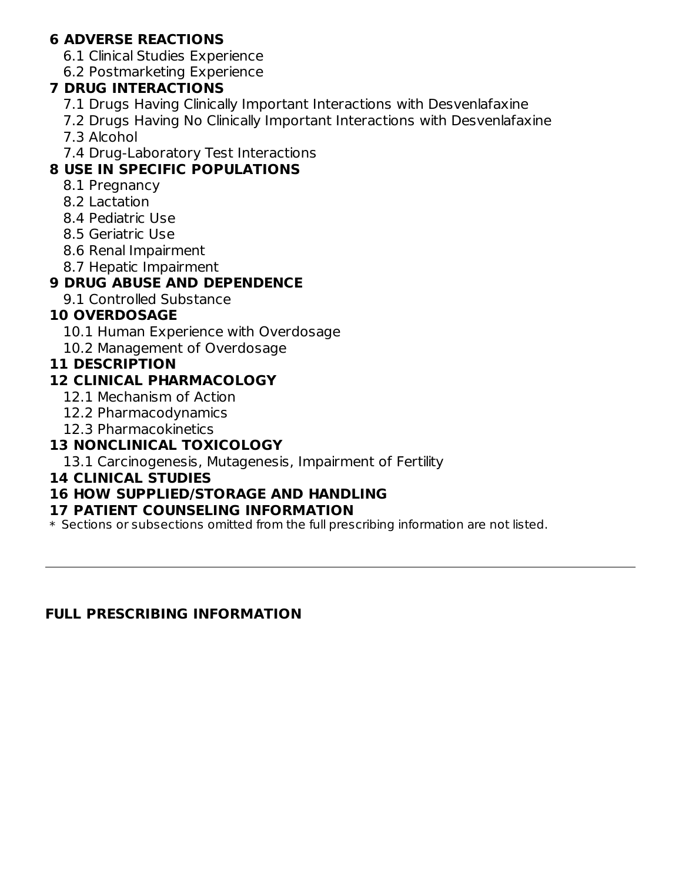## **6 ADVERSE REACTIONS**

- 6.1 Clinical Studies Experience
- 6.2 Postmarketing Experience

### **7 DRUG INTERACTIONS**

- 7.1 Drugs Having Clinically Important Interactions with Desvenlafaxine
- 7.2 Drugs Having No Clinically Important Interactions with Desvenlafaxine
- 7.3 Alcohol
- 7.4 Drug-Laboratory Test Interactions

## **8 USE IN SPECIFIC POPULATIONS**

- 8.1 Pregnancy
- 8.2 Lactation
- 8.4 Pediatric Use
- 8.5 Geriatric Use
- 8.6 Renal Impairment
- 8.7 Hepatic Impairment

## **9 DRUG ABUSE AND DEPENDENCE**

9.1 Controlled Substance

## **10 OVERDOSAGE**

- 10.1 Human Experience with Overdosage
- 10.2 Management of Overdosage

### **11 DESCRIPTION**

## **12 CLINICAL PHARMACOLOGY**

- 12.1 Mechanism of Action
- 12.2 Pharmacodynamics
- 12.3 Pharmacokinetics

## **13 NONCLINICAL TOXICOLOGY**

13.1 Carcinogenesis, Mutagenesis, Impairment of Fertility

### **14 CLINICAL STUDIES**

## **16 HOW SUPPLIED/STORAGE AND HANDLING**

### **17 PATIENT COUNSELING INFORMATION**

\* Sections or subsections omitted from the full prescribing information are not listed.

### **FULL PRESCRIBING INFORMATION**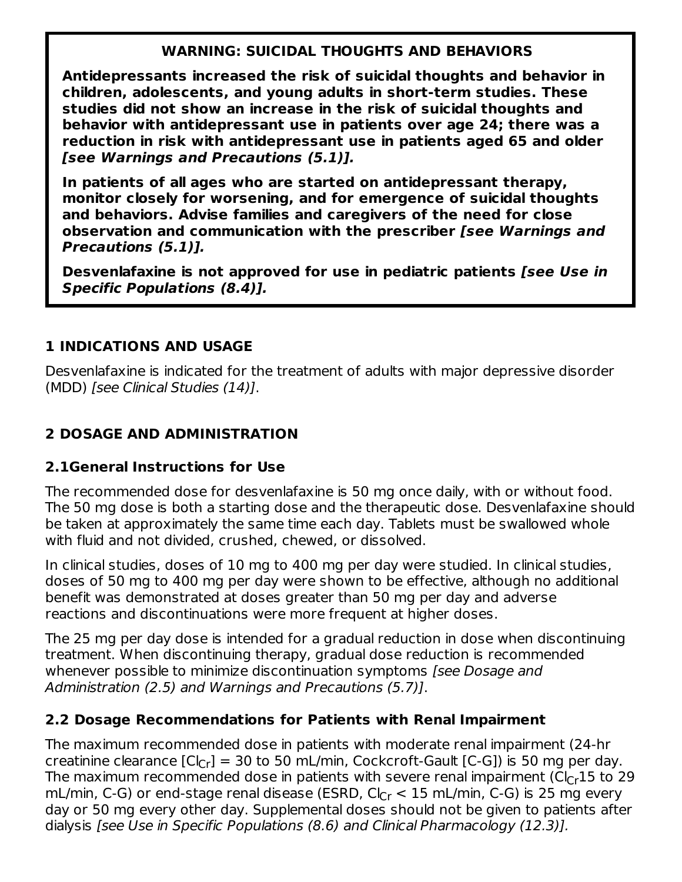## **WARNING: SUICIDAL THOUGHTS AND BEHAVIORS**

**Antidepressants increased the risk of suicidal thoughts and behavior in children, adolescents, and young adults in short-term studies. These studies did not show an increase in the risk of suicidal thoughts and behavior with antidepressant use in patients over age 24; there was a reduction in risk with antidepressant use in patients aged 65 and older [see Warnings and Precautions (5.1)].**

**In patients of all ages who are started on antidepressant therapy, monitor closely for worsening, and for emergence of suicidal thoughts and behaviors. Advise families and caregivers of the need for close observation and communication with the prescriber [see Warnings and Precautions (5.1)].**

**Desvenlafaxine is not approved for use in pediatric patients [see Use in Specific Populations (8.4)].**

## **1 INDICATIONS AND USAGE**

Desvenlafaxine is indicated for the treatment of adults with major depressive disorder (MDD) [see Clinical Studies (14)].

## **2 DOSAGE AND ADMINISTRATION**

## **2.1General Instructions for Use**

The recommended dose for desvenlafaxine is 50 mg once daily, with or without food. The 50 mg dose is both a starting dose and the therapeutic dose. Desvenlafaxine should be taken at approximately the same time each day. Tablets must be swallowed whole with fluid and not divided, crushed, chewed, or dissolved.

In clinical studies, doses of 10 mg to 400 mg per day were studied. In clinical studies, doses of 50 mg to 400 mg per day were shown to be effective, although no additional benefit was demonstrated at doses greater than 50 mg per day and adverse reactions and discontinuations were more frequent at higher doses.

The 25 mg per day dose is intended for a gradual reduction in dose when discontinuing treatment. When discontinuing therapy, gradual dose reduction is recommended whenever possible to minimize discontinuation symptoms (see Dosage and Administration (2.5) and Warnings and Precautions (5.7)].

## **2.2 Dosage Recommendations for Patients with Renal Impairment**

The maximum recommended dose in patients with moderate renal impairment (24-hr creatinine clearance [Cl $_{\rm Cr}]$  = 30 to 50 mL/min, Cockcroft-Gault [C-G]) is 50 mg per day. The maximum recommended dose in patients with severe renal impairment (Cl $_{\rm Cr}$ 15 to 29 mL/min, C-G) or end-stage renal disease (ESRD, Cl $_{\rm Cr}$   $<$  15 mL/min, C-G) is 25 mg every day or 50 mg every other day. Supplemental doses should not be given to patients after dialysis [see Use in Specific Populations (8.6) and Clinical Pharmacology (12.3)].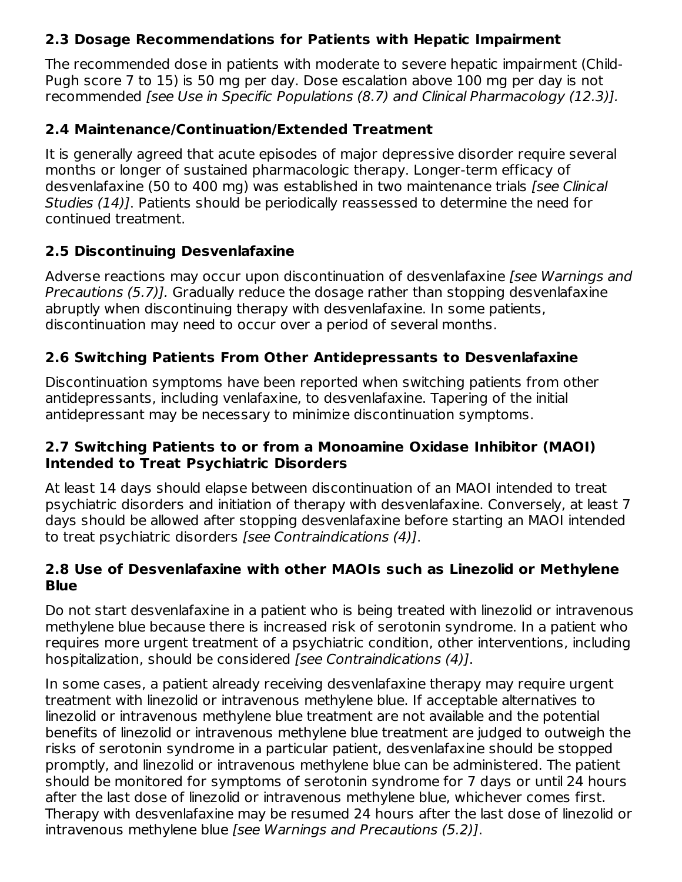### **2.3 Dosage Recommendations for Patients with Hepatic Impairment**

The recommended dose in patients with moderate to severe hepatic impairment (Child-Pugh score 7 to 15) is 50 mg per day. Dose escalation above 100 mg per day is not recommended [see Use in Specific Populations (8.7) and Clinical Pharmacology (12.3)].

### **2.4 Maintenance/Continuation/Extended Treatment**

It is generally agreed that acute episodes of major depressive disorder require several months or longer of sustained pharmacologic therapy. Longer-term efficacy of desvenlafaxine (50 to 400 mg) was established in two maintenance trials [see Clinical Studies (14)]. Patients should be periodically reassessed to determine the need for continued treatment.

### **2.5 Discontinuing Desvenlafaxine**

Adverse reactions may occur upon discontinuation of desvenlafaxine *[see Warnings and* Precautions (5.7)]. Gradually reduce the dosage rather than stopping desvenlafaxine abruptly when discontinuing therapy with desvenlafaxine. In some patients, discontinuation may need to occur over a period of several months.

### **2.6 Switching Patients From Other Antidepressants to Desvenlafaxine**

Discontinuation symptoms have been reported when switching patients from other antidepressants, including venlafaxine, to desvenlafaxine. Tapering of the initial antidepressant may be necessary to minimize discontinuation symptoms.

### **2.7 Switching Patients to or from a Monoamine Oxidase Inhibitor (MAOI) Intended to Treat Psychiatric Disorders**

At least 14 days should elapse between discontinuation of an MAOI intended to treat psychiatric disorders and initiation of therapy with desvenlafaxine. Conversely, at least 7 days should be allowed after stopping desvenlafaxine before starting an MAOI intended to treat psychiatric disorders [see Contraindications (4)].

### **2.8 Use of Desvenlafaxine with other MAOIs such as Linezolid or Methylene Blue**

Do not start desvenlafaxine in a patient who is being treated with linezolid or intravenous methylene blue because there is increased risk of serotonin syndrome. In a patient who requires more urgent treatment of a psychiatric condition, other interventions, including hospitalization, should be considered [see Contraindications (4)].

In some cases, a patient already receiving desvenlafaxine therapy may require urgent treatment with linezolid or intravenous methylene blue. If acceptable alternatives to linezolid or intravenous methylene blue treatment are not available and the potential benefits of linezolid or intravenous methylene blue treatment are judged to outweigh the risks of serotonin syndrome in a particular patient, desvenlafaxine should be stopped promptly, and linezolid or intravenous methylene blue can be administered. The patient should be monitored for symptoms of serotonin syndrome for 7 days or until 24 hours after the last dose of linezolid or intravenous methylene blue, whichever comes first. Therapy with desvenlafaxine may be resumed 24 hours after the last dose of linezolid or intravenous methylene blue [see Warnings and Precautions (5.2)].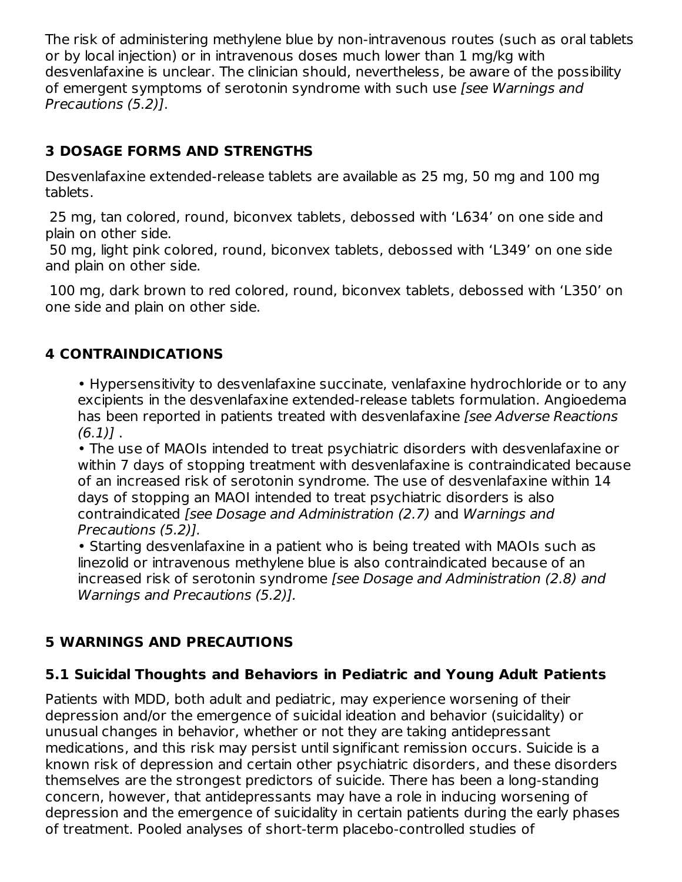The risk of administering methylene blue by non-intravenous routes (such as oral tablets or by local injection) or in intravenous doses much lower than 1 mg/kg with desvenlafaxine is unclear. The clinician should, nevertheless, be aware of the possibility of emergent symptoms of serotonin syndrome with such use [see Warnings and Precautions (5.2)].

## **3 DOSAGE FORMS AND STRENGTHS**

Desvenlafaxine extended-release tablets are available as 25 mg, 50 mg and 100 mg tablets.

25 mg, tan colored, round, biconvex tablets, debossed with 'L634' on one side and plain on other side.

50 mg, light pink colored, round, biconvex tablets, debossed with 'L349' on one side and plain on other side.

100 mg, dark brown to red colored, round, biconvex tablets, debossed with 'L350' on one side and plain on other side.

## **4 CONTRAINDICATIONS**

• Hypersensitivity to desvenlafaxine succinate, venlafaxine hydrochloride or to any excipients in the desvenlafaxine extended-release tablets formulation. Angioedema has been reported in patients treated with desvenlafaxine [see Adverse Reactions  $(6.1)$ .

• The use of MAOIs intended to treat psychiatric disorders with desvenlafaxine or within 7 days of stopping treatment with desvenlafaxine is contraindicated because of an increased risk of serotonin syndrome. The use of desvenlafaxine within 14 days of stopping an MAOI intended to treat psychiatric disorders is also contraindicated [see Dosage and Administration (2.7) and Warnings and Precautions (5.2)].

• Starting desvenlafaxine in a patient who is being treated with MAOIs such as linezolid or intravenous methylene blue is also contraindicated because of an increased risk of serotonin syndrome [see Dosage and Administration (2.8) and Warnings and Precautions (5.2)].

## **5 WARNINGS AND PRECAUTIONS**

## **5.1 Suicidal Thoughts and Behaviors in Pediatric and Young Adult Patients**

Patients with MDD, both adult and pediatric, may experience worsening of their depression and/or the emergence of suicidal ideation and behavior (suicidality) or unusual changes in behavior, whether or not they are taking antidepressant medications, and this risk may persist until significant remission occurs. Suicide is a known risk of depression and certain other psychiatric disorders, and these disorders themselves are the strongest predictors of suicide. There has been a long-standing concern, however, that antidepressants may have a role in inducing worsening of depression and the emergence of suicidality in certain patients during the early phases of treatment. Pooled analyses of short-term placebo-controlled studies of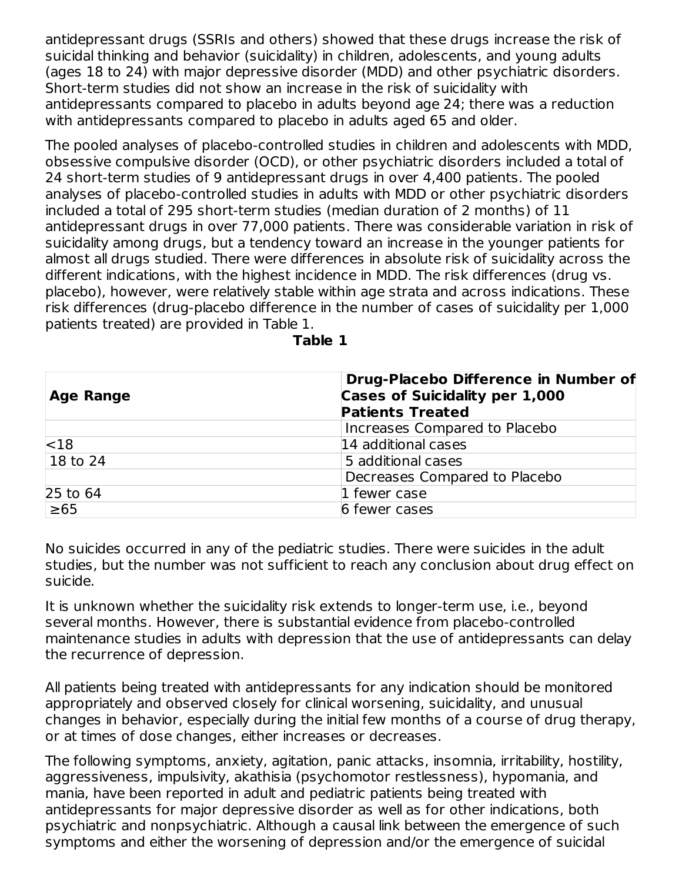antidepressant drugs (SSRIs and others) showed that these drugs increase the risk of suicidal thinking and behavior (suicidality) in children, adolescents, and young adults (ages 18 to 24) with major depressive disorder (MDD) and other psychiatric disorders. Short-term studies did not show an increase in the risk of suicidality with antidepressants compared to placebo in adults beyond age 24; there was a reduction with antidepressants compared to placebo in adults aged 65 and older.

The pooled analyses of placebo-controlled studies in children and adolescents with MDD, obsessive compulsive disorder (OCD), or other psychiatric disorders included a total of 24 short-term studies of 9 antidepressant drugs in over 4,400 patients. The pooled analyses of placebo-controlled studies in adults with MDD or other psychiatric disorders included a total of 295 short-term studies (median duration of 2 months) of 11 antidepressant drugs in over 77,000 patients. There was considerable variation in risk of suicidality among drugs, but a tendency toward an increase in the younger patients for almost all drugs studied. There were differences in absolute risk of suicidality across the different indications, with the highest incidence in MDD. The risk differences (drug vs. placebo), however, were relatively stable within age strata and across indications. These risk differences (drug-placebo difference in the number of cases of suicidality per 1,000 patients treated) are provided in Table 1.

| <b>Age Range</b> | Drug-Placebo Difference in Number of<br>Cases of Suicidality per 1,000 |
|------------------|------------------------------------------------------------------------|
|                  | <b>Patients Treated</b>                                                |
|                  | Increases Compared to Placebo                                          |
| $ $ $<$ $18$     | 14 additional cases                                                    |
| $18$ to 24       | 5 additional cases                                                     |
|                  | Decreases Compared to Placebo                                          |
| 25 to 64         | 1 fewer case                                                           |
| $\geq 65$        | 6 fewer cases                                                          |

**Table 1**

No suicides occurred in any of the pediatric studies. There were suicides in the adult studies, but the number was not sufficient to reach any conclusion about drug effect on suicide.

It is unknown whether the suicidality risk extends to longer-term use, i.e., beyond several months. However, there is substantial evidence from placebo-controlled maintenance studies in adults with depression that the use of antidepressants can delay the recurrence of depression.

All patients being treated with antidepressants for any indication should be monitored appropriately and observed closely for clinical worsening, suicidality, and unusual changes in behavior, especially during the initial few months of a course of drug therapy, or at times of dose changes, either increases or decreases.

The following symptoms, anxiety, agitation, panic attacks, insomnia, irritability, hostility, aggressiveness, impulsivity, akathisia (psychomotor restlessness), hypomania, and mania, have been reported in adult and pediatric patients being treated with antidepressants for major depressive disorder as well as for other indications, both psychiatric and nonpsychiatric. Although a causal link between the emergence of such symptoms and either the worsening of depression and/or the emergence of suicidal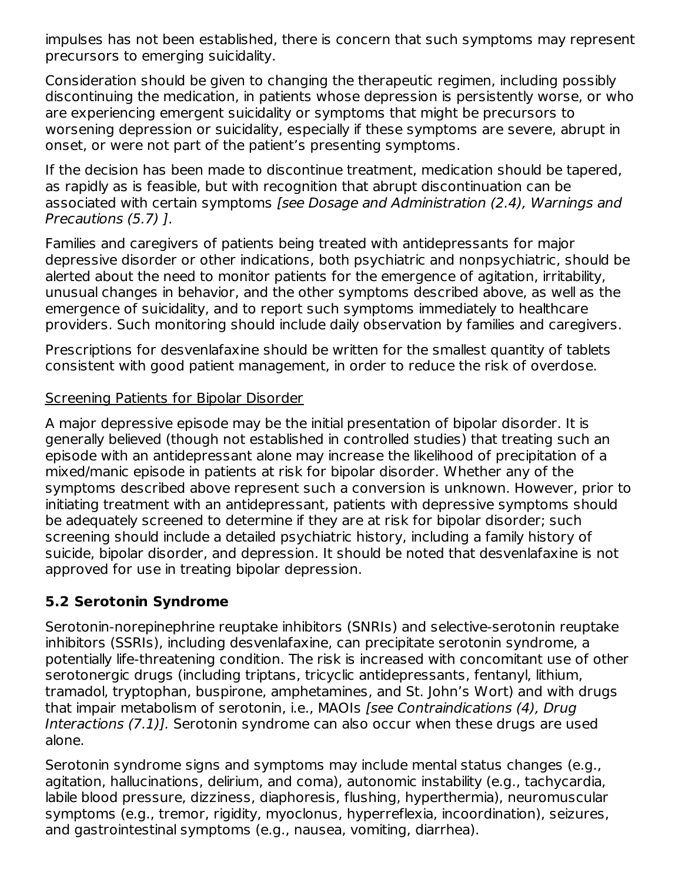impulses has not been established, there is concern that such symptoms may represent precursors to emerging suicidality.

Consideration should be given to changing the therapeutic regimen, including possibly discontinuing the medication, in patients whose depression is persistently worse, or who are experiencing emergent suicidality or symptoms that might be precursors to worsening depression or suicidality, especially if these symptoms are severe, abrupt in onset, or were not part of the patient's presenting symptoms.

If the decision has been made to discontinue treatment, medication should be tapered, as rapidly as is feasible, but with recognition that abrupt discontinuation can be associated with certain symptoms [see Dosage and Administration (2.4), Warnings and Precautions (5.7) ].

Families and caregivers of patients being treated with antidepressants for major depressive disorder or other indications, both psychiatric and nonpsychiatric, should be alerted about the need to monitor patients for the emergence of agitation, irritability, unusual changes in behavior, and the other symptoms described above, as well as the emergence of suicidality, and to report such symptoms immediately to healthcare providers. Such monitoring should include daily observation by families and caregivers.

Prescriptions for desvenlafaxine should be written for the smallest quantity of tablets consistent with good patient management, in order to reduce the risk of overdose.

### Screening Patients for Bipolar Disorder

A major depressive episode may be the initial presentation of bipolar disorder. It is generally believed (though not established in controlled studies) that treating such an episode with an antidepressant alone may increase the likelihood of precipitation of a mixed/manic episode in patients at risk for bipolar disorder. Whether any of the symptoms described above represent such a conversion is unknown. However, prior to initiating treatment with an antidepressant, patients with depressive symptoms should be adequately screened to determine if they are at risk for bipolar disorder; such screening should include a detailed psychiatric history, including a family history of suicide, bipolar disorder, and depression. It should be noted that desvenlafaxine is not approved for use in treating bipolar depression.

## **5.2 Serotonin Syndrome**

Serotonin-norepinephrine reuptake inhibitors (SNRIs) and selective-serotonin reuptake inhibitors (SSRIs), including desvenlafaxine, can precipitate serotonin syndrome, a potentially life-threatening condition. The risk is increased with concomitant use of other serotonergic drugs (including triptans, tricyclic antidepressants, fentanyl, lithium, tramadol, tryptophan, buspirone, amphetamines, and St. John's Wort) and with drugs that impair metabolism of serotonin, i.e., MAOIs [see Contraindications (4), Drug Interactions (7.1)]. Serotonin syndrome can also occur when these drugs are used alone.

Serotonin syndrome signs and symptoms may include mental status changes (e.g., agitation, hallucinations, delirium, and coma), autonomic instability (e.g., tachycardia, labile blood pressure, dizziness, diaphoresis, flushing, hyperthermia), neuromuscular symptoms (e.g., tremor, rigidity, myoclonus, hyperreflexia, incoordination), seizures, and gastrointestinal symptoms (e.g., nausea, vomiting, diarrhea).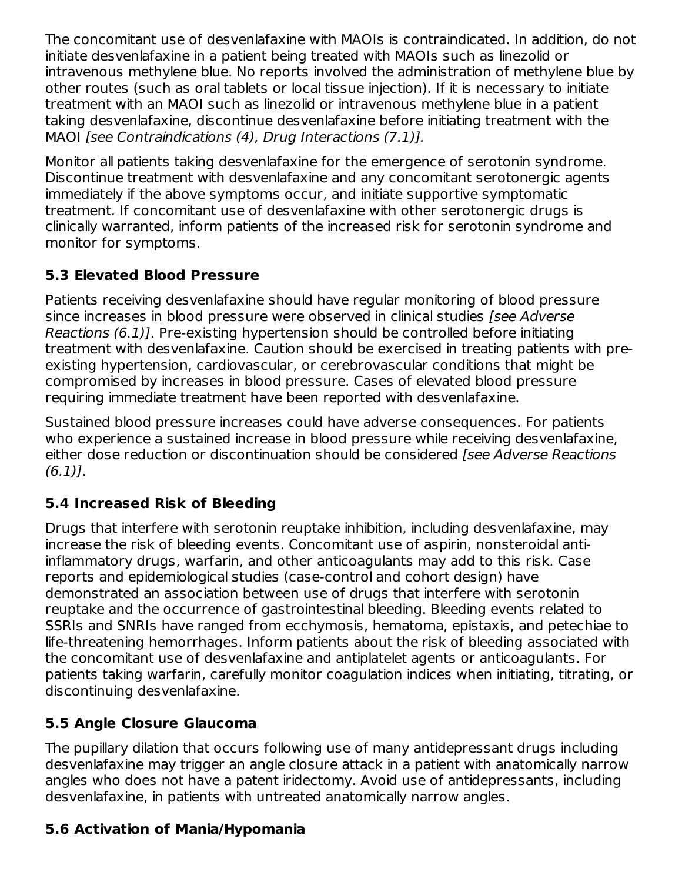The concomitant use of desvenlafaxine with MAOIs is contraindicated. In addition, do not initiate desvenlafaxine in a patient being treated with MAOIs such as linezolid or intravenous methylene blue. No reports involved the administration of methylene blue by other routes (such as oral tablets or local tissue injection). If it is necessary to initiate treatment with an MAOI such as linezolid or intravenous methylene blue in a patient taking desvenlafaxine, discontinue desvenlafaxine before initiating treatment with the MAOI [see Contraindications (4), Drug Interactions (7.1)].

Monitor all patients taking desvenlafaxine for the emergence of serotonin syndrome. Discontinue treatment with desvenlafaxine and any concomitant serotonergic agents immediately if the above symptoms occur, and initiate supportive symptomatic treatment. If concomitant use of desvenlafaxine with other serotonergic drugs is clinically warranted, inform patients of the increased risk for serotonin syndrome and monitor for symptoms.

## **5.3 Elevated Blood Pressure**

Patients receiving desvenlafaxine should have regular monitoring of blood pressure since increases in blood pressure were observed in clinical studies [see Adverse Reactions (6.1)]. Pre-existing hypertension should be controlled before initiating treatment with desvenlafaxine. Caution should be exercised in treating patients with preexisting hypertension, cardiovascular, or cerebrovascular conditions that might be compromised by increases in blood pressure. Cases of elevated blood pressure requiring immediate treatment have been reported with desvenlafaxine.

Sustained blood pressure increases could have adverse consequences. For patients who experience a sustained increase in blood pressure while receiving desvenlafaxine, either dose reduction or discontinuation should be considered *[see Adverse Reactions*  $(6.1)$ .

## **5.4 Increased Risk of Bleeding**

Drugs that interfere with serotonin reuptake inhibition, including desvenlafaxine, may increase the risk of bleeding events. Concomitant use of aspirin, nonsteroidal antiinflammatory drugs, warfarin, and other anticoagulants may add to this risk. Case reports and epidemiological studies (case-control and cohort design) have demonstrated an association between use of drugs that interfere with serotonin reuptake and the occurrence of gastrointestinal bleeding. Bleeding events related to SSRIs and SNRIs have ranged from ecchymosis, hematoma, epistaxis, and petechiae to life-threatening hemorrhages. Inform patients about the risk of bleeding associated with the concomitant use of desvenlafaxine and antiplatelet agents or anticoagulants. For patients taking warfarin, carefully monitor coagulation indices when initiating, titrating, or discontinuing desvenlafaxine.

## **5.5 Angle Closure Glaucoma**

The pupillary dilation that occurs following use of many antidepressant drugs including desvenlafaxine may trigger an angle closure attack in a patient with anatomically narrow angles who does not have a patent iridectomy. Avoid use of antidepressants, including desvenlafaxine, in patients with untreated anatomically narrow angles.

## **5.6 Activation of Mania/Hypomania**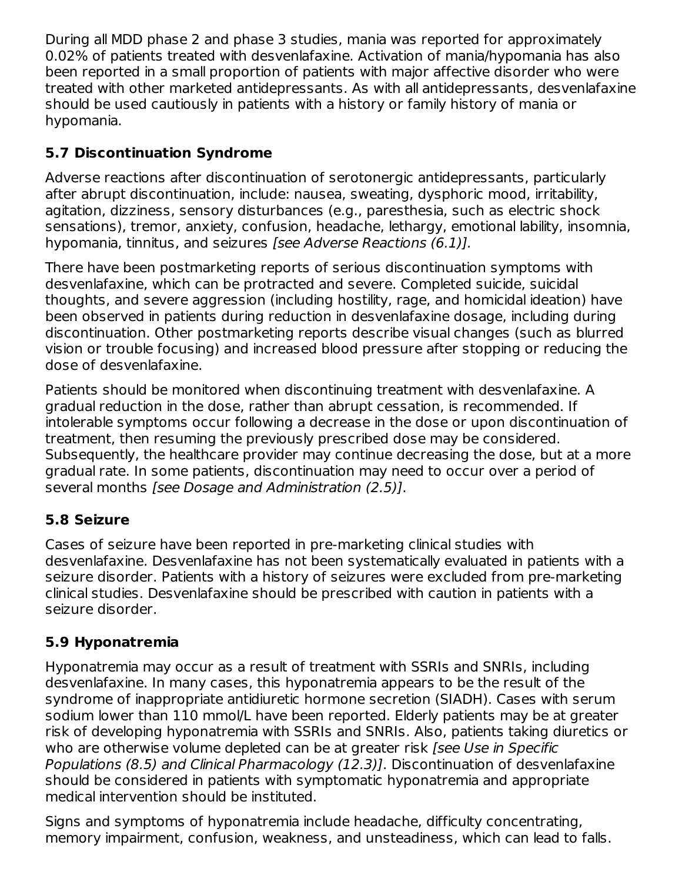During all MDD phase 2 and phase 3 studies, mania was reported for approximately 0.02% of patients treated with desvenlafaxine. Activation of mania/hypomania has also been reported in a small proportion of patients with major affective disorder who were treated with other marketed antidepressants. As with all antidepressants, desvenlafaxine should be used cautiously in patients with a history or family history of mania or hypomania.

## **5.7 Discontinuation Syndrome**

Adverse reactions after discontinuation of serotonergic antidepressants, particularly after abrupt discontinuation, include: nausea, sweating, dysphoric mood, irritability, agitation, dizziness, sensory disturbances (e.g., paresthesia, such as electric shock sensations), tremor, anxiety, confusion, headache, lethargy, emotional lability, insomnia, hypomania, tinnitus, and seizures [see Adverse Reactions (6.1)].

There have been postmarketing reports of serious discontinuation symptoms with desvenlafaxine, which can be protracted and severe. Completed suicide, suicidal thoughts, and severe aggression (including hostility, rage, and homicidal ideation) have been observed in patients during reduction in desvenlafaxine dosage, including during discontinuation. Other postmarketing reports describe visual changes (such as blurred vision or trouble focusing) and increased blood pressure after stopping or reducing the dose of desvenlafaxine.

Patients should be monitored when discontinuing treatment with desvenlafaxine. A gradual reduction in the dose, rather than abrupt cessation, is recommended. If intolerable symptoms occur following a decrease in the dose or upon discontinuation of treatment, then resuming the previously prescribed dose may be considered. Subsequently, the healthcare provider may continue decreasing the dose, but at a more gradual rate. In some patients, discontinuation may need to occur over a period of several months [see Dosage and Administration (2.5)].

## **5.8 Seizure**

Cases of seizure have been reported in pre-marketing clinical studies with desvenlafaxine. Desvenlafaxine has not been systematically evaluated in patients with a seizure disorder. Patients with a history of seizures were excluded from pre-marketing clinical studies. Desvenlafaxine should be prescribed with caution in patients with a seizure disorder.

## **5.9 Hyponatremia**

Hyponatremia may occur as a result of treatment with SSRIs and SNRIs, including desvenlafaxine. In many cases, this hyponatremia appears to be the result of the syndrome of inappropriate antidiuretic hormone secretion (SIADH). Cases with serum sodium lower than 110 mmol/L have been reported. Elderly patients may be at greater risk of developing hyponatremia with SSRIs and SNRIs. Also, patients taking diuretics or who are otherwise volume depleted can be at greater risk *[see Use in Specific* Populations (8.5) and Clinical Pharmacology (12.3)]. Discontinuation of desvenlafaxine should be considered in patients with symptomatic hyponatremia and appropriate medical intervention should be instituted.

Signs and symptoms of hyponatremia include headache, difficulty concentrating, memory impairment, confusion, weakness, and unsteadiness, which can lead to falls.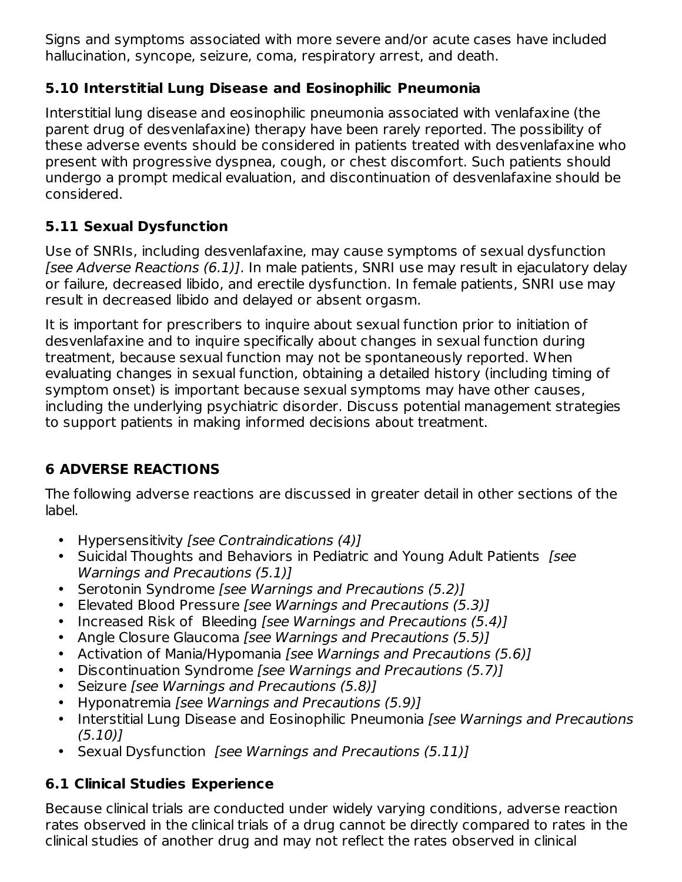Signs and symptoms associated with more severe and/or acute cases have included hallucination, syncope, seizure, coma, respiratory arrest, and death.

## **5.10 Interstitial Lung Disease and Eosinophilic Pneumonia**

Interstitial lung disease and eosinophilic pneumonia associated with venlafaxine (the parent drug of desvenlafaxine) therapy have been rarely reported. The possibility of these adverse events should be considered in patients treated with desvenlafaxine who present with progressive dyspnea, cough, or chest discomfort. Such patients should undergo a prompt medical evaluation, and discontinuation of desvenlafaxine should be considered.

## **5.11 Sexual Dysfunction**

Use of SNRIs, including desvenlafaxine, may cause symptoms of sexual dysfunction [see Adverse Reactions (6.1)]. In male patients, SNRI use may result in ejaculatory delay or failure, decreased libido, and erectile dysfunction. In female patients, SNRI use may result in decreased libido and delayed or absent orgasm.

It is important for prescribers to inquire about sexual function prior to initiation of desvenlafaxine and to inquire specifically about changes in sexual function during treatment, because sexual function may not be spontaneously reported. When evaluating changes in sexual function, obtaining a detailed history (including timing of symptom onset) is important because sexual symptoms may have other causes, including the underlying psychiatric disorder. Discuss potential management strategies to support patients in making informed decisions about treatment.

## **6 ADVERSE REACTIONS**

The following adverse reactions are discussed in greater detail in other sections of the label.

- Hypersensitivity [see Contraindications (4)]
- Suicidal Thoughts and Behaviors in Pediatric and Young Adult Patients [see Warnings and Precautions (5.1)]
- Serotonin Syndrome [see Warnings and Precautions (5.2)]
- Elevated Blood Pressure [see Warnings and Precautions (5.3)]
- Increased Risk of Bleeding [see Warnings and Precautions (5.4)]
- Angle Closure Glaucoma [see Warnings and Precautions (5.5)]
- Activation of Mania/Hypomania [see Warnings and Precautions (5.6)]
- Discontinuation Syndrome [see Warnings and Precautions (5.7)]
- Seizure [see Warnings and Precautions (5.8)]
- $\bullet$ Hyponatremia [see Warnings and Precautions (5.9)]
- Interstitial Lung Disease and Eosinophilic Pneumonia [see Warnings and Precautions (5.10)]
- Sexual Dysfunction [see Warnings and Precautions (5.11)]

## **6.1 Clinical Studies Experience**

Because clinical trials are conducted under widely varying conditions, adverse reaction rates observed in the clinical trials of a drug cannot be directly compared to rates in the clinical studies of another drug and may not reflect the rates observed in clinical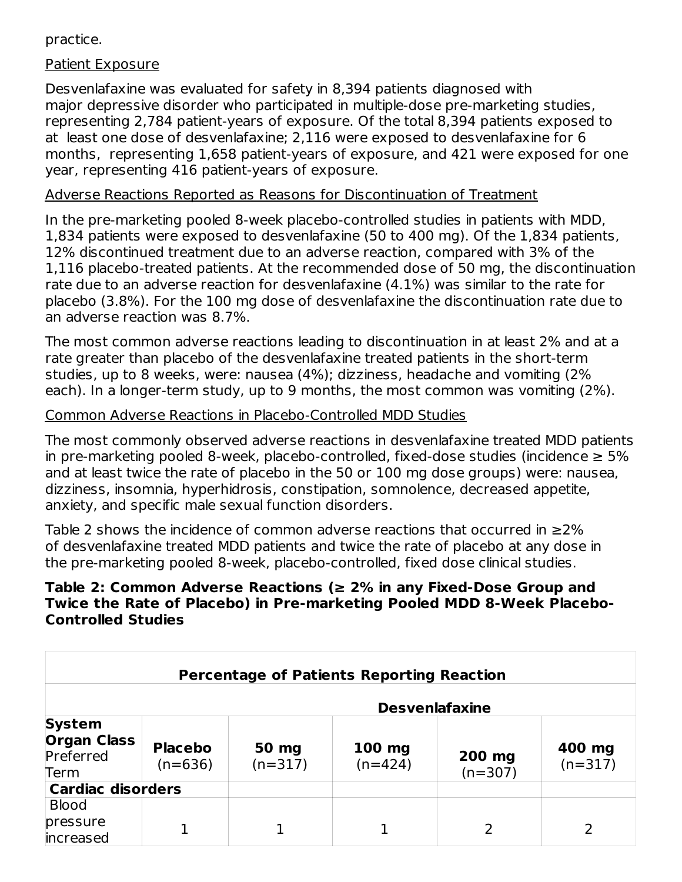### practice.

#### Patient Exposure

Desvenlafaxine was evaluated for safety in 8,394 patients diagnosed with major depressive disorder who participated in multiple-dose pre-marketing studies, representing 2,784 patient-years of exposure. Of the total 8,394 patients exposed to at least one dose of desvenlafaxine; 2,116 were exposed to desvenlafaxine for 6 months, representing 1,658 patient-years of exposure, and 421 were exposed for one year, representing 416 patient-years of exposure.

#### Adverse Reactions Reported as Reasons for Discontinuation of Treatment

In the pre-marketing pooled 8-week placebo-controlled studies in patients with MDD, 1,834 patients were exposed to desvenlafaxine (50 to 400 mg). Of the 1,834 patients, 12% discontinued treatment due to an adverse reaction, compared with 3% of the 1,116 placebo-treated patients. At the recommended dose of 50 mg, the discontinuation rate due to an adverse reaction for desvenlafaxine (4.1%) was similar to the rate for placebo (3.8%). For the 100 mg dose of desvenlafaxine the discontinuation rate due to an adverse reaction was 8.7%.

The most common adverse reactions leading to discontinuation in at least 2% and at a rate greater than placebo of the desvenlafaxine treated patients in the short-term studies, up to 8 weeks, were: nausea (4%); dizziness, headache and vomiting (2% each). In a longer-term study, up to 9 months, the most common was vomiting (2%).

#### Common Adverse Reactions in Placebo-Controlled MDD Studies

The most commonly observed adverse reactions in desvenlafaxine treated MDD patients in pre-marketing pooled 8-week, placebo-controlled, fixed-dose studies (incidence  $≥ 5\%$ and at least twice the rate of placebo in the 50 or 100 mg dose groups) were: nausea, dizziness, insomnia, hyperhidrosis, constipation, somnolence, decreased appetite, anxiety, and specific male sexual function disorders.

Table 2 shows the incidence of common adverse reactions that occurred in ≥2% of desvenlafaxine treated MDD patients and twice the rate of placebo at any dose in the pre-marketing pooled 8-week, placebo-controlled, fixed dose clinical studies.

#### **Table 2: Common Adverse Reactions (≥ 2% in any Fixed-Dose Group and Twice the Rate of Placebo) in Pre-marketing Pooled MDD 8-Week Placebo-Controlled Studies**

| <b>Percentage of Patients Reporting Reaction</b>         |                             |                    |                     |                       |                     |
|----------------------------------------------------------|-----------------------------|--------------------|---------------------|-----------------------|---------------------|
|                                                          |                             |                    |                     | <b>Desvenlafaxine</b> |                     |
| <b>System</b><br><b>Organ Class</b><br>Preferred<br>Term | <b>Placebo</b><br>$(n=636)$ | 50 mg<br>$(n=317)$ | 100 mg<br>$(n=424)$ | 200 mg<br>$(n=307)$   | 400 mg<br>$(n=317)$ |
| <b>Cardiac disorders</b>                                 |                             |                    |                     |                       |                     |
| <b>Blood</b>                                             |                             |                    |                     |                       |                     |
| pressure<br>increased                                    |                             |                    |                     |                       |                     |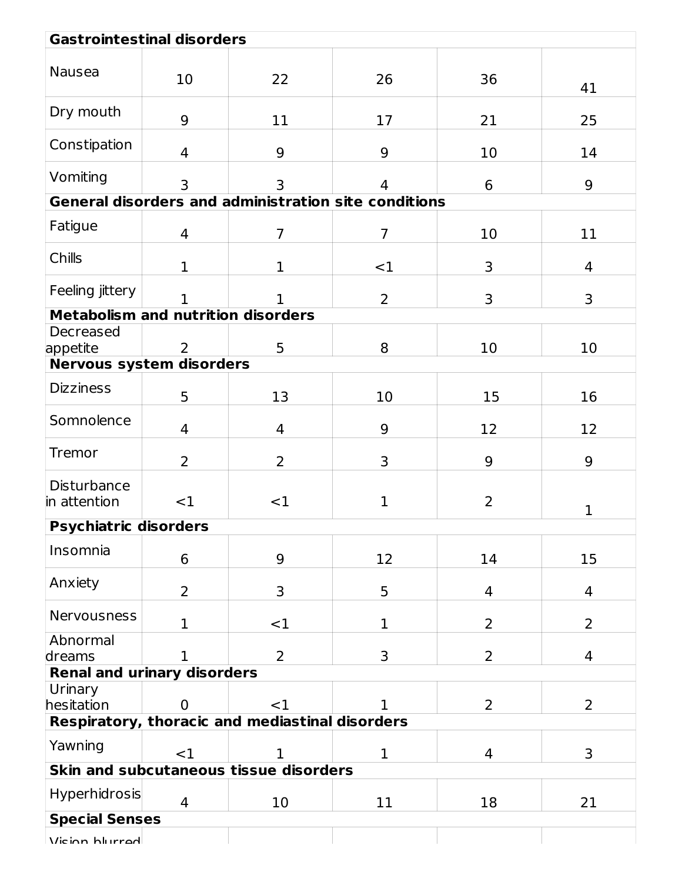| <b>Gastrointestinal disorders</b>               |                |                                                             |                |                |                |
|-------------------------------------------------|----------------|-------------------------------------------------------------|----------------|----------------|----------------|
| Nausea                                          |                |                                                             |                |                |                |
|                                                 | 10             | 22                                                          | 26             | 36             | 41             |
| Dry mouth                                       | 9              | 11                                                          | 17             | 21             | 25             |
| Constipation                                    | 4              | 9                                                           | 9              | 10             | 14             |
| Vomiting                                        | $\overline{3}$ | 3                                                           | 4              | 6              | 9              |
|                                                 |                | <b>General disorders and administration site conditions</b> |                |                |                |
| Fatigue                                         | 4              | $\overline{7}$                                              | $\overline{7}$ | 10             | 11             |
| Chills                                          | $\mathbf{1}$   | $\mathbf 1$                                                 | <1             | 3              | 4              |
| Feeling jittery                                 | 1.             | 1                                                           | $\overline{2}$ | 3              | 3              |
| <b>Metabolism and nutrition disorders</b>       |                |                                                             |                |                |                |
| Decreased<br>appetite                           | 2              | 5                                                           | 8              | 10             | 10             |
| <b>Nervous system disorders</b>                 |                |                                                             |                |                |                |
| <b>Dizziness</b>                                | 5              | 13                                                          | 10             | 15             | 16             |
| Somnolence                                      | 4              | 4                                                           | 9              | 12             | 12             |
| Tremor                                          | 2              | $\overline{2}$                                              | 3              | 9              | 9              |
| Disturbance<br>in attention                     | $<$ 1          | $<$ 1                                                       | $\mathbf{1}$   | $\overline{2}$ | 1              |
| Psychiatric disorders                           |                |                                                             |                |                |                |
| Insomnia                                        | 6              | 9                                                           | 12             | 14             | 15             |
| Anxiety                                         | $\overline{2}$ | 3                                                           | 5              | 4              | 4              |
| Nervousness                                     | $\mathbf{1}$   | $<$ 1                                                       | 1              | $\overline{2}$ | $\overline{2}$ |
| Abnormal<br>dreams                              |                | $\overline{2}$                                              | 3              | $\overline{2}$ | 4              |
| <b>Renal and urinary disorders</b>              |                |                                                             |                |                |                |
| Urinary<br>hesitation                           | 0              | <1                                                          | 1.             | $\overline{2}$ | $\overline{2}$ |
| Respiratory, thoracic and mediastinal disorders |                |                                                             |                |                |                |
| Yawning                                         | <1             | 1.                                                          | 1              | 4              | 3              |
|                                                 |                | Skin and subcutaneous tissue disorders                      |                |                |                |
| Hyperhidrosis                                   | 4              | 10                                                          | 11             | 18             | 21             |
| <b>Special Senses</b>                           |                |                                                             |                |                |                |
| Vicion blurrod                                  |                |                                                             |                |                |                |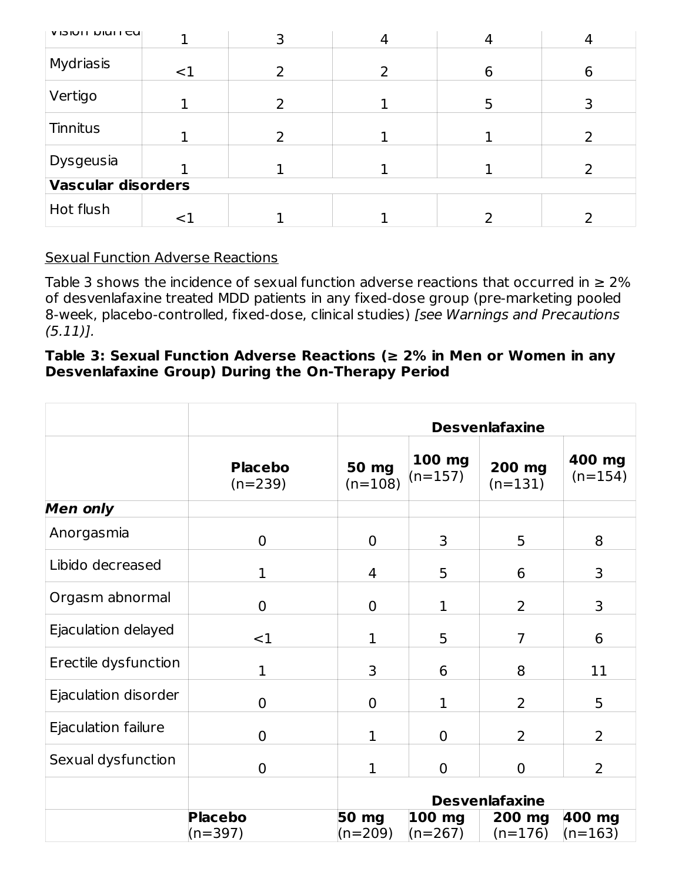| ווטוכו זי וועוכו   |        | 4 |   |   |
|--------------------|--------|---|---|---|
| Mydriasis          | <1     |   | 6 | 6 |
| Vertigo            |        |   | 5 |   |
| Tinnitus           |        |   |   |   |
| Dysgeusia          |        |   |   |   |
| Vascular disorders |        |   |   |   |
| Hot flush          | ${<}1$ |   |   |   |

### Sexual Function Adverse Reactions

Table 3 shows the incidence of sexual function adverse reactions that occurred in  $\geq 2\%$ of desvenlafaxine treated MDD patients in any fixed-dose group (pre-marketing pooled 8-week, placebo-controlled, fixed-dose, clinical studies) [see Warnings and Precautions  $(5.11)$ .

### **Table 3: Sexual Function Adverse Reactions (≥ 2% in Men or Women in any Desvenlafaxine Group) During the On-Therapy Period**

|                      |                             | <b>Desvenlafaxine</b> |                     |                       |                     |
|----------------------|-----------------------------|-----------------------|---------------------|-----------------------|---------------------|
|                      | <b>Placebo</b><br>$(n=239)$ | 50 mg<br>$(n=108)$    | 100 mg<br>(n=157)   | 200 mg<br>$(n=131)$   | 400 mg<br>$(n=154)$ |
| <b>Men only</b>      |                             |                       |                     |                       |                     |
| Anorgasmia           | $\overline{0}$              | $\overline{0}$        | 3                   | 5                     | 8                   |
| Libido decreased     | $\mathbf 1$                 | 4                     | 5                   | 6                     | 3                   |
| Orgasm abnormal      | $\mathbf 0$                 | $\overline{0}$        | $\mathbf 1$         | 2                     | 3                   |
| Ejaculation delayed  | $<$ 1                       | $\mathbf{1}$          | 5                   | $\overline{7}$        | 6                   |
| Erectile dysfunction | $\mathbf{1}$                | 3                     | 6                   | 8                     | 11                  |
| Ejaculation disorder | $\overline{0}$              | $\overline{0}$        | $\mathbf 1$         | $\overline{2}$        | 5                   |
| Ejaculation failure  | $\mathbf 0$                 | $\mathbf{1}$          | $\mathbf 0$         | 2                     | $\overline{2}$      |
| Sexual dysfunction   | $\mathbf 0$                 | $\mathbf{1}$          | $\mathbf 0$         | $\overline{0}$        | $\overline{2}$      |
|                      |                             |                       |                     | <b>Desvenlafaxine</b> |                     |
|                      | <b>Placebo</b><br>$(n=397)$ | 50 mg<br>$(n=209)$    | 100 mg<br>$(n=267)$ | 200 mg<br>$(n=176)$   | 400 mg<br>$(n=163)$ |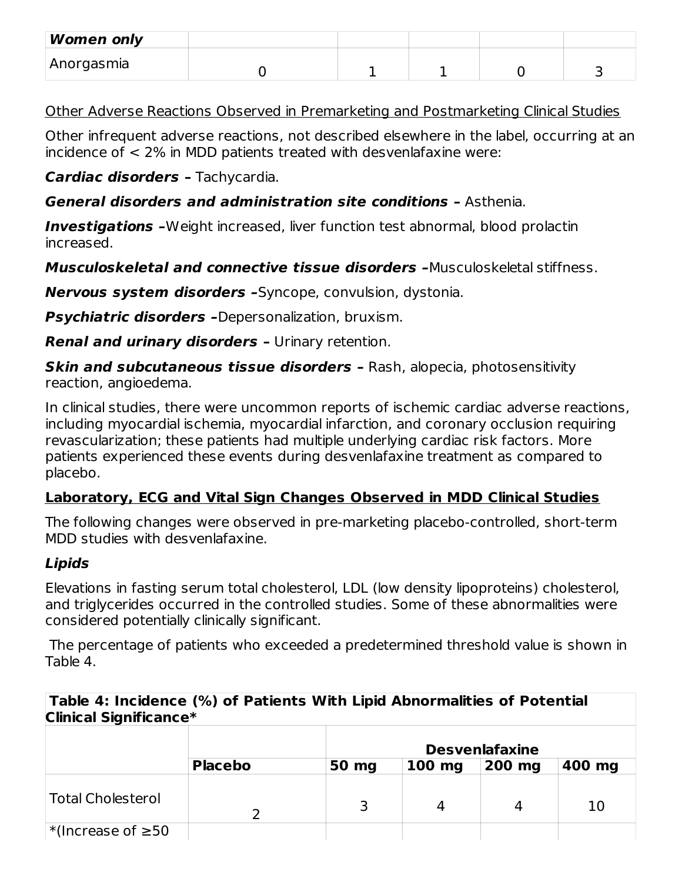| <b>Women only</b> |  |  |  |
|-------------------|--|--|--|
| Anorgasmia        |  |  |  |

Other Adverse Reactions Observed in Premarketing and Postmarketing Clinical Studies

Other infrequent adverse reactions, not described elsewhere in the label, occurring at an incidence of < 2% in MDD patients treated with desvenlafaxine were:

**Cardiac disorders –** Tachycardia.

**General disorders and administration site conditions –** Asthenia.

**Investigations –**Weight increased, liver function test abnormal, blood prolactin increased.

**Musculoskeletal and connective tissue disorders –**Musculoskeletal stiffness.

**Nervous system disorders –**Syncope, convulsion, dystonia.

**Psychiatric disorders –**Depersonalization, bruxism.

**Renal and urinary disorders –** Urinary retention.

**Skin and subcutaneous tissue disorders –** Rash, alopecia, photosensitivity reaction, angioedema.

In clinical studies, there were uncommon reports of ischemic cardiac adverse reactions, including myocardial ischemia, myocardial infarction, and coronary occlusion requiring revascularization; these patients had multiple underlying cardiac risk factors. More patients experienced these events during desvenlafaxine treatment as compared to placebo.

## **Laboratory, ECG and Vital Sign Changes Observed in MDD Clinical Studies**

The following changes were observed in pre-marketing placebo-controlled, short-term MDD studies with desvenlafaxine.

## **Lipids**

Elevations in fasting serum total cholesterol, LDL (low density lipoproteins) cholesterol, and triglycerides occurred in the controlled studies. Some of these abnormalities were considered potentially clinically significant.

The percentage of patients who exceeded a predetermined threshold value is shown in Table 4.

**Table 4: Incidence (%) of Patients With Lipid Abnormalities of Potential Clinical Significance\***

|                         |                |       |          | <b>Desvenlafaxine</b> |        |
|-------------------------|----------------|-------|----------|-----------------------|--------|
|                         | <b>Placebo</b> | 50 mg | $100$ mg | 200 mg                | 400 mg |
| Total Cholesterol       |                | 3     | 4        | 4                     | 10     |
| $\ast$ (Increase of ≥50 |                |       |          |                       |        |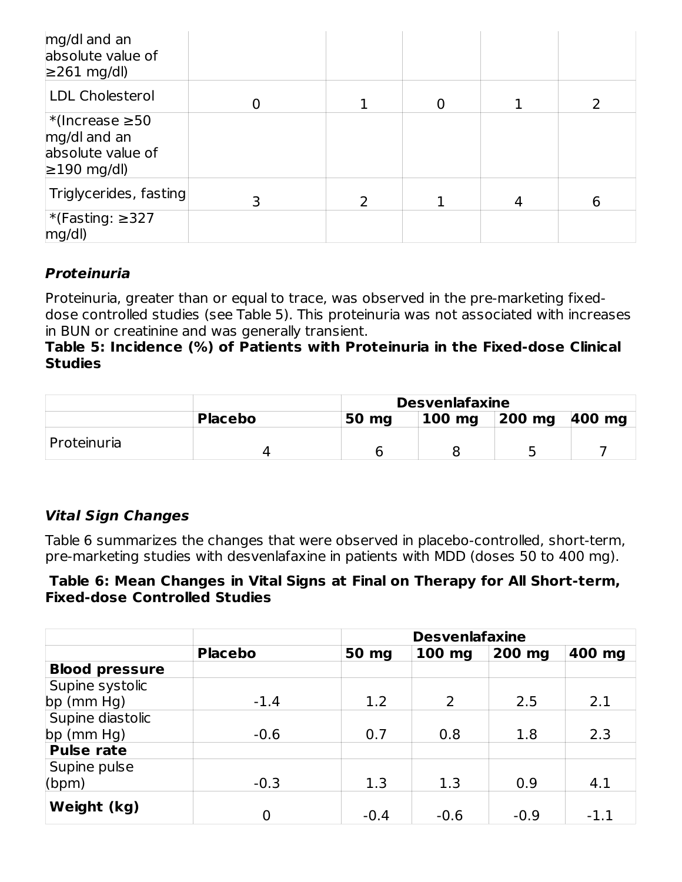| mg/dl and an<br>absolute value of<br>$\geq$ 261 mg/dl)                         |   |               |  |   |
|--------------------------------------------------------------------------------|---|---------------|--|---|
| LDL Cholesterol                                                                | O |               |  |   |
| *(Increase $\geq 50$<br>mg/dl and an<br>absolute value of<br>$\geq$ 190 mg/dl) |   |               |  |   |
| Triglycerides, fasting                                                         | 3 | $\mathcal{P}$ |  | 6 |
| $*$ (Fasting: ≥327<br>mg/dl                                                    |   |               |  |   |

## **Proteinuria**

Proteinuria, greater than or equal to trace, was observed in the pre-marketing fixeddose controlled studies (see Table 5). This proteinuria was not associated with increases in BUN or creatinine and was generally transient.

### **Table 5: Incidence (%) of Patients with Proteinuria in the Fixed-dose Clinical Studies**

|             |                |       | <b>Desvenlafaxine</b> |        |        |
|-------------|----------------|-------|-----------------------|--------|--------|
|             | <b>Placebo</b> | 50 mg | $100$ mg              | 200 mg | 400 mg |
| Proteinuria |                |       |                       |        |        |

## **Vital Sign Changes**

Table 6 summarizes the changes that were observed in placebo-controlled, short-term, pre-marketing studies with desvenlafaxine in patients with MDD (doses 50 to 400 mg).

#### **Table 6: Mean Changes in Vital Signs at Final on Therapy for All Short-term, Fixed-dose Controlled Studies**

|                       |                |        | <b>Desvenlafaxine</b> |        |        |
|-----------------------|----------------|--------|-----------------------|--------|--------|
|                       | <b>Placebo</b> | 50 mg  | 100 mg                | 200 mg | 400 mg |
| <b>Blood pressure</b> |                |        |                       |        |        |
| Supine systolic       |                |        |                       |        |        |
| bp (mm Hg)            | $-1.4$         | 1.2    | 2                     | 2.5    | 2.1    |
| Supine diastolic      |                |        |                       |        |        |
| bp (mm Hg)            | $-0.6$         | 0.7    | 0.8                   | 1.8    | 2.3    |
| <b>Pulse rate</b>     |                |        |                       |        |        |
| Supine pulse          |                |        |                       |        |        |
| (bpm)                 | $-0.3$         | 1.3    | 1.3                   | 0.9    | 4.1    |
| Weight (kg)           | 0              | $-0.4$ | $-0.6$                | $-0.9$ | $-1.1$ |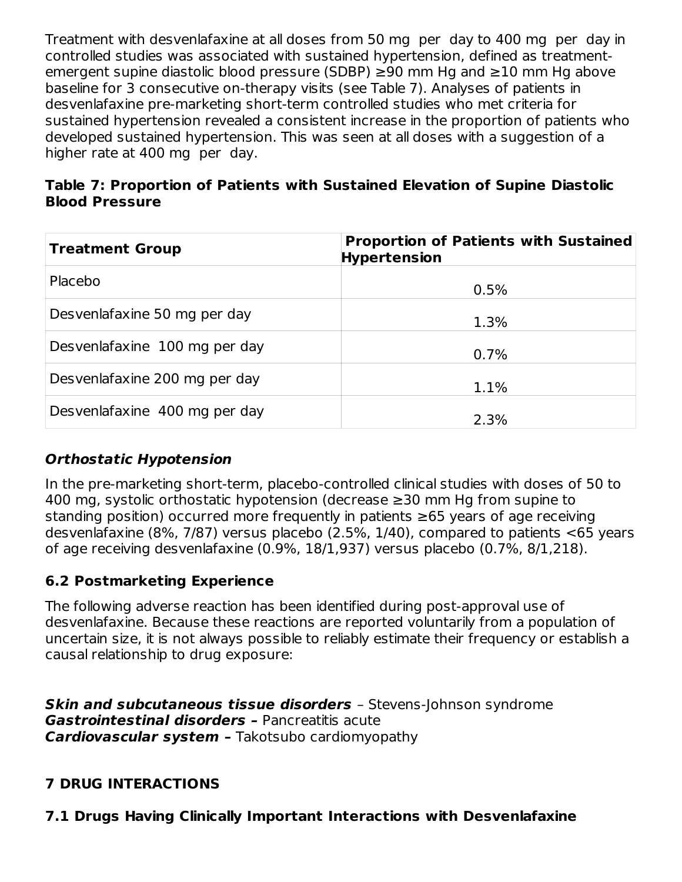Treatment with desvenlafaxine at all doses from 50 mg per day to 400 mg per day in controlled studies was associated with sustained hypertension, defined as treatmentemergent supine diastolic blood pressure (SDBP) ≥90 mm Hg and ≥10 mm Hg above baseline for 3 consecutive on-therapy visits (see Table 7). Analyses of patients in desvenlafaxine pre-marketing short-term controlled studies who met criteria for sustained hypertension revealed a consistent increase in the proportion of patients who developed sustained hypertension. This was seen at all doses with a suggestion of a higher rate at 400 mg per day.

### **Table 7: Proportion of Patients with Sustained Elevation of Supine Diastolic Blood Pressure**

| <b>Treatment Group</b>        | <b>Proportion of Patients with Sustained</b><br><b>Hypertension</b> |
|-------------------------------|---------------------------------------------------------------------|
| Placebo                       | 0.5%                                                                |
| Desvenlafaxine 50 mg per day  | 1.3%                                                                |
| Desvenlafaxine 100 mg per day | 0.7%                                                                |
| Desvenlafaxine 200 mg per day | 1.1%                                                                |
| Desvenlafaxine 400 mg per day | 2.3%                                                                |

## **Orthostatic Hypotension**

In the pre-marketing short-term, placebo-controlled clinical studies with doses of 50 to 400 mg, systolic orthostatic hypotension (decrease ≥30 mm Hg from supine to standing position) occurred more frequently in patients ≥65 years of age receiving desvenlafaxine (8%, 7/87) versus placebo (2.5%, 1/40), compared to patients <65 years of age receiving desvenlafaxine (0.9%, 18/1,937) versus placebo (0.7%, 8/1,218).

## **6.2 Postmarketing Experience**

The following adverse reaction has been identified during post-approval use of desvenlafaxine. Because these reactions are reported voluntarily from a population of uncertain size, it is not always possible to reliably estimate their frequency or establish a causal relationship to drug exposure:

**Skin and subcutaneous tissue disorders** – Stevens-Johnson syndrome **Gastrointestinal disorders –** Pancreatitis acute **Cardiovascular system –** Takotsubo cardiomyopathy

## **7 DRUG INTERACTIONS**

## **7.1 Drugs Having Clinically Important Interactions with Desvenlafaxine**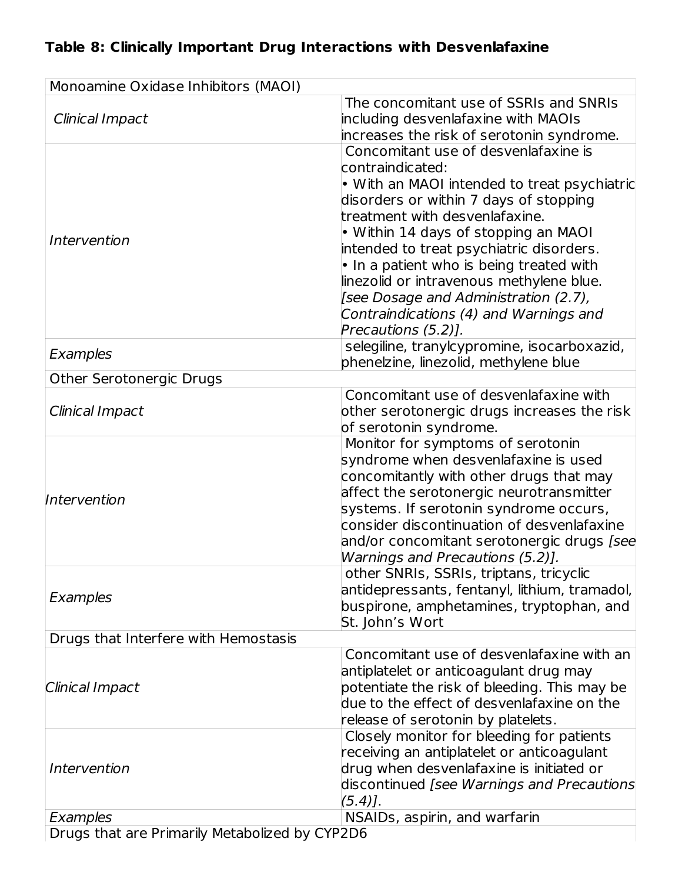# **Table 8: Clinically Important Drug Interactions with Desvenlafaxine**

| Monoamine Oxidase Inhibitors (MAOI)            |                                                                                            |
|------------------------------------------------|--------------------------------------------------------------------------------------------|
|                                                | The concomitant use of SSRIs and SNRIs                                                     |
| Clinical Impact                                | including desvenlafaxine with MAOIs                                                        |
|                                                | increases the risk of serotonin syndrome.                                                  |
|                                                | Concomitant use of desvenlafaxine is                                                       |
|                                                | contraindicated:                                                                           |
|                                                | • With an MAOI intended to treat psychiatric                                               |
|                                                | disorders or within 7 days of stopping                                                     |
|                                                | treatment with desvenlafaxine.                                                             |
| Intervention                                   | • Within 14 days of stopping an MAOI                                                       |
|                                                | intended to treat psychiatric disorders.                                                   |
|                                                | • In a patient who is being treated with                                                   |
|                                                | linezolid or intravenous methylene blue.                                                   |
|                                                | [see Dosage and Administration (2.7),                                                      |
|                                                | Contraindications (4) and Warnings and                                                     |
|                                                | Precautions (5.2)].                                                                        |
| Examples                                       | selegiline, tranylcypromine, isocarboxazid,                                                |
|                                                | phenelzine, linezolid, methylene blue                                                      |
| Other Serotonergic Drugs                       |                                                                                            |
|                                                | Concomitant use of desvenlafaxine with                                                     |
| Clinical Impact                                | other serotonergic drugs increases the risk                                                |
|                                                | of serotonin syndrome.                                                                     |
|                                                | Monitor for symptoms of serotonin                                                          |
|                                                | syndrome when desvenlafaxine is used                                                       |
|                                                | concomitantly with other drugs that may                                                    |
| <i><u><b>Intervention</b></u></i>              | affect the serotonergic neurotransmitter                                                   |
|                                                | systems. If serotonin syndrome occurs,                                                     |
|                                                | consider discontinuation of desvenlafaxine                                                 |
|                                                | and/or concomitant serotonergic drugs [see                                                 |
|                                                | <b>Warnings and Precautions (5.2)].</b>                                                    |
|                                                | other SNRIs, SSRIs, triptans, tricyclic                                                    |
| Examples                                       | antidepressants, fentanyl, lithium, tramadol,                                              |
|                                                | buspirone, amphetamines, tryptophan, and                                                   |
|                                                | St. John's Wort                                                                            |
| Drugs that Interfere with Hemostasis           | Concomitant use of desvenlafaxine with an                                                  |
|                                                |                                                                                            |
|                                                | antiplatelet or anticoagulant drug may                                                     |
| Clinical Impact                                | potentiate the risk of bleeding. This may be<br>due to the effect of desvenlafaxine on the |
|                                                |                                                                                            |
|                                                | release of serotonin by platelets.                                                         |
|                                                | Closely monitor for bleeding for patients                                                  |
| Intervention                                   | receiving an antiplatelet or anticoagulant                                                 |
|                                                | drug when desvenlafaxine is initiated or                                                   |
|                                                | discontinued [see Warnings and Precautions                                                 |
| Examples                                       | $(5.4)$ .<br>NSAIDs, aspirin, and warfarin                                                 |
| Drugs that are Primarily Metabolized by CYP2D6 |                                                                                            |
|                                                |                                                                                            |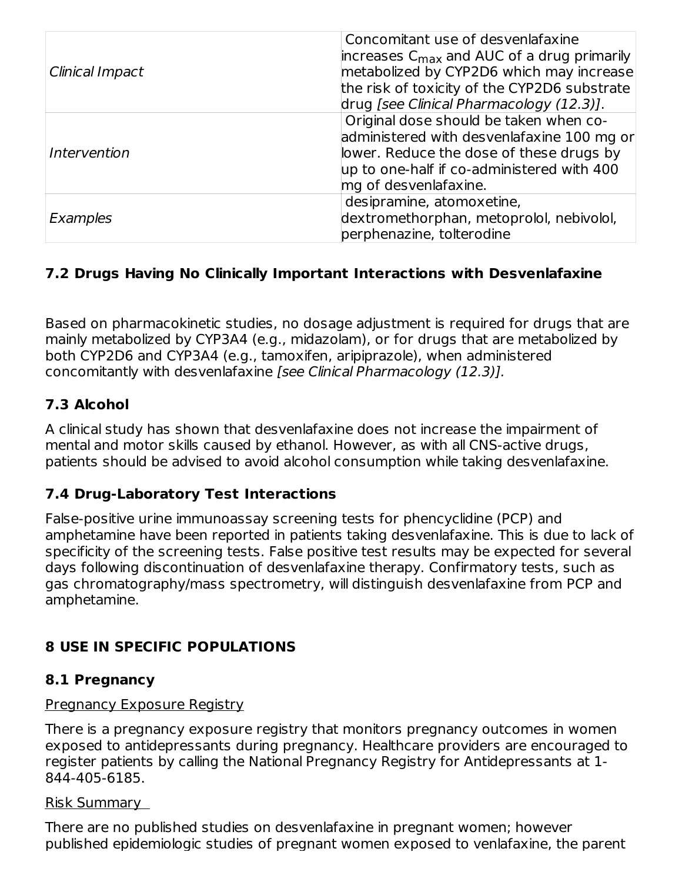|                                   | Concomitant use of desvenlafaxine                      |
|-----------------------------------|--------------------------------------------------------|
|                                   | increases $C_{\text{max}}$ and AUC of a drug primarily |
| Clinical Impact                   | metabolized by CYP2D6 which may increase               |
|                                   | the risk of toxicity of the CYP2D6 substrate           |
|                                   | drug [see Clinical Pharmacology (12.3)].               |
|                                   | Original dose should be taken when co-                 |
|                                   | administered with desvenlafaxine 100 mg or             |
| <i><u><b>Intervention</b></u></i> | lower. Reduce the dose of these drugs by               |
|                                   | up to one-half if co-administered with 400             |
|                                   | mg of desvenlafaxine.                                  |
|                                   | desipramine, atomoxetine,                              |
| Examples                          | dextromethorphan, metoprolol, nebivolol,               |
|                                   | perphenazine, tolterodine                              |

## **7.2 Drugs Having No Clinically Important Interactions with Desvenlafaxine**

Based on pharmacokinetic studies, no dosage adjustment is required for drugs that are mainly metabolized by CYP3A4 (e.g., midazolam), or for drugs that are metabolized by both CYP2D6 and CYP3A4 (e.g., tamoxifen, aripiprazole), when administered concomitantly with desvenlafaxine [see Clinical Pharmacology (12.3)].

## **7.3 Alcohol**

A clinical study has shown that desvenlafaxine does not increase the impairment of mental and motor skills caused by ethanol. However, as with all CNS-active drugs, patients should be advised to avoid alcohol consumption while taking desvenlafaxine.

## **7.4 Drug-Laboratory Test Interactions**

False-positive urine immunoassay screening tests for phencyclidine (PCP) and amphetamine have been reported in patients taking desvenlafaxine. This is due to lack of specificity of the screening tests. False positive test results may be expected for several days following discontinuation of desvenlafaxine therapy. Confirmatory tests, such as gas chromatography/mass spectrometry, will distinguish desvenlafaxine from PCP and amphetamine.

## **8 USE IN SPECIFIC POPULATIONS**

## **8.1 Pregnancy**

### Pregnancy Exposure Registry

There is a pregnancy exposure registry that monitors pregnancy outcomes in women exposed to antidepressants during pregnancy. Healthcare providers are encouraged to register patients by calling the National Pregnancy Registry for Antidepressants at 1- 844-405-6185.

### Risk Summary

There are no published studies on desvenlafaxine in pregnant women; however published epidemiologic studies of pregnant women exposed to venlafaxine, the parent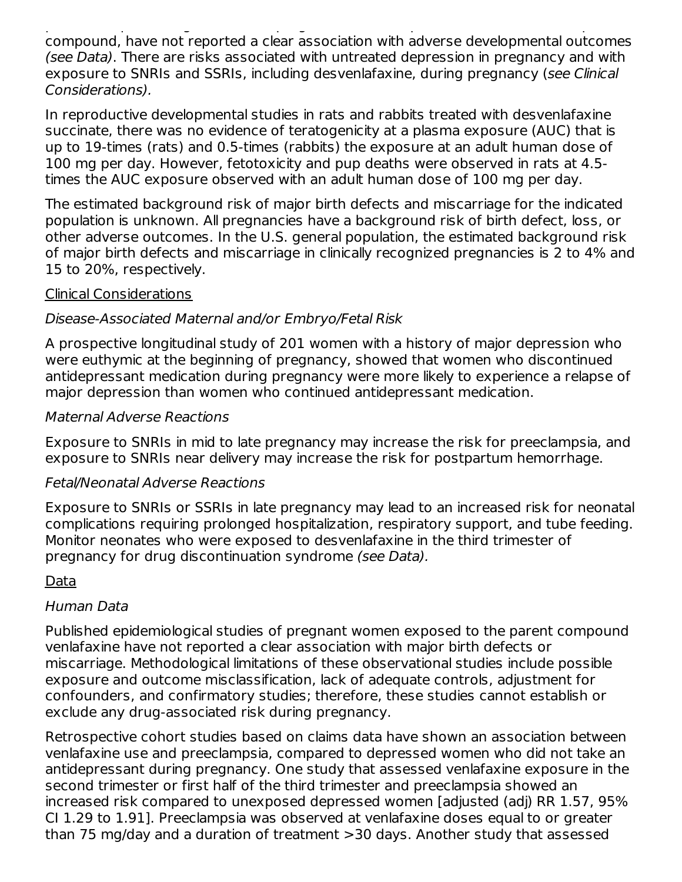published epidemiologic studies of pregnant women exposed to venlafaxine, the parent compound, have not reported a clear association with adverse developmental outcomes (see Data). There are risks associated with untreated depression in pregnancy and with exposure to SNRIs and SSRIs, including desvenlafaxine, during pregnancy (see Clinical Considerations).

In reproductive developmental studies in rats and rabbits treated with desvenlafaxine succinate, there was no evidence of teratogenicity at a plasma exposure (AUC) that is up to 19-times (rats) and 0.5-times (rabbits) the exposure at an adult human dose of 100 mg per day. However, fetotoxicity and pup deaths were observed in rats at 4.5 times the AUC exposure observed with an adult human dose of 100 mg per day.

The estimated background risk of major birth defects and miscarriage for the indicated population is unknown. All pregnancies have a background risk of birth defect, loss, or other adverse outcomes. In the U.S. general population, the estimated background risk of major birth defects and miscarriage in clinically recognized pregnancies is 2 to 4% and 15 to 20%, respectively.

#### Clinical Considerations

### Disease-Associated Maternal and/or Embryo/Fetal Risk

A prospective longitudinal study of 201 women with a history of major depression who were euthymic at the beginning of pregnancy, showed that women who discontinued antidepressant medication during pregnancy were more likely to experience a relapse of major depression than women who continued antidepressant medication.

### Maternal Adverse Reactions

Exposure to SNRIs in mid to late pregnancy may increase the risk for preeclampsia, and exposure to SNRIs near delivery may increase the risk for postpartum hemorrhage.

### Fetal/Neonatal Adverse Reactions

Exposure to SNRIs or SSRIs in late pregnancy may lead to an increased risk for neonatal complications requiring prolonged hospitalization, respiratory support, and tube feeding. Monitor neonates who were exposed to desvenlafaxine in the third trimester of pregnancy for drug discontinuation syndrome (see Data).

### Data

### Human Data

Published epidemiological studies of pregnant women exposed to the parent compound venlafaxine have not reported a clear association with major birth defects or miscarriage. Methodological limitations of these observational studies include possible exposure and outcome misclassification, lack of adequate controls, adjustment for confounders, and confirmatory studies; therefore, these studies cannot establish or exclude any drug-associated risk during pregnancy.

Retrospective cohort studies based on claims data have shown an association between venlafaxine use and preeclampsia, compared to depressed women who did not take an antidepressant during pregnancy. One study that assessed venlafaxine exposure in the second trimester or first half of the third trimester and preeclampsia showed an increased risk compared to unexposed depressed women [adjusted (adj) RR 1.57, 95% CI 1.29 to 1.91]. Preeclampsia was observed at venlafaxine doses equal to or greater than 75 mg/day and a duration of treatment >30 days. Another study that assessed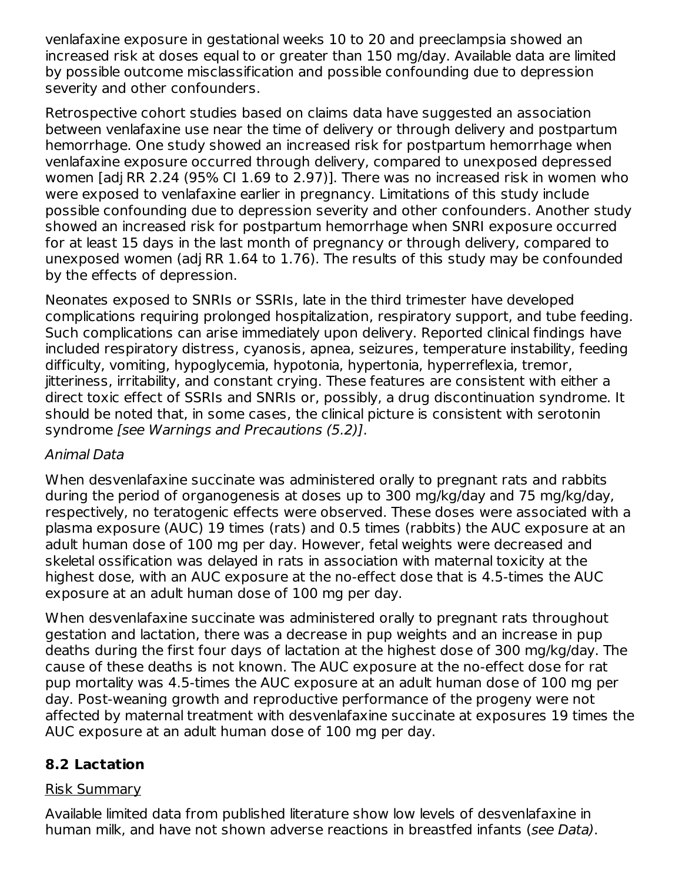venlafaxine exposure in gestational weeks 10 to 20 and preeclampsia showed an increased risk at doses equal to or greater than 150 mg/day. Available data are limited by possible outcome misclassification and possible confounding due to depression severity and other confounders.

Retrospective cohort studies based on claims data have suggested an association between venlafaxine use near the time of delivery or through delivery and postpartum hemorrhage. One study showed an increased risk for postpartum hemorrhage when venlafaxine exposure occurred through delivery, compared to unexposed depressed women [adj RR 2.24 (95% CI 1.69 to 2.97)]. There was no increased risk in women who were exposed to venlafaxine earlier in pregnancy. Limitations of this study include possible confounding due to depression severity and other confounders. Another study showed an increased risk for postpartum hemorrhage when SNRI exposure occurred for at least 15 days in the last month of pregnancy or through delivery, compared to unexposed women (adj RR 1.64 to 1.76). The results of this study may be confounded by the effects of depression.

Neonates exposed to SNRIs or SSRIs, late in the third trimester have developed complications requiring prolonged hospitalization, respiratory support, and tube feeding. Such complications can arise immediately upon delivery. Reported clinical findings have included respiratory distress, cyanosis, apnea, seizures, temperature instability, feeding difficulty, vomiting, hypoglycemia, hypotonia, hypertonia, hyperreflexia, tremor, jitteriness, irritability, and constant crying. These features are consistent with either a direct toxic effect of SSRIs and SNRIs or, possibly, a drug discontinuation syndrome. It should be noted that, in some cases, the clinical picture is consistent with serotonin syndrome [see Warnings and Precautions (5.2)].

## Animal Data

When desvenlafaxine succinate was administered orally to pregnant rats and rabbits during the period of organogenesis at doses up to 300 mg/kg/day and 75 mg/kg/day, respectively, no teratogenic effects were observed. These doses were associated with a plasma exposure (AUC) 19 times (rats) and 0.5 times (rabbits) the AUC exposure at an adult human dose of 100 mg per day. However, fetal weights were decreased and skeletal ossification was delayed in rats in association with maternal toxicity at the highest dose, with an AUC exposure at the no-effect dose that is 4.5-times the AUC exposure at an adult human dose of 100 mg per day.

When desvenlafaxine succinate was administered orally to pregnant rats throughout gestation and lactation, there was a decrease in pup weights and an increase in pup deaths during the first four days of lactation at the highest dose of 300 mg/kg/day. The cause of these deaths is not known. The AUC exposure at the no-effect dose for rat pup mortality was 4.5-times the AUC exposure at an adult human dose of 100 mg per day. Post-weaning growth and reproductive performance of the progeny were not affected by maternal treatment with desvenlafaxine succinate at exposures 19 times the AUC exposure at an adult human dose of 100 mg per day.

## **8.2 Lactation**

## Risk Summary

Available limited data from published literature show low levels of desvenlafaxine in human milk, and have not shown adverse reactions in breastfed infants (see Data).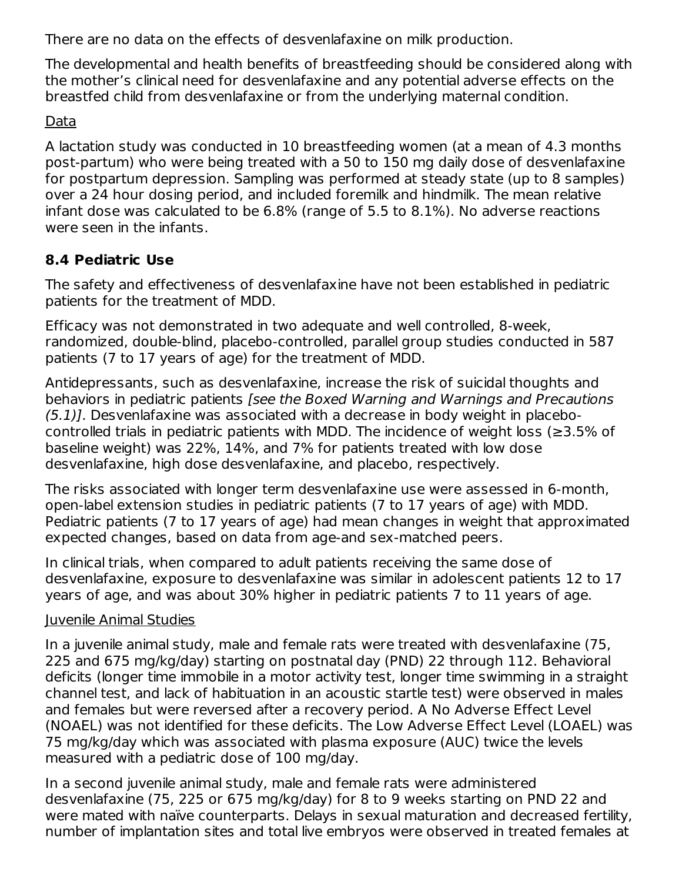There are no data on the effects of desvenlafaxine on milk production.

The developmental and health benefits of breastfeeding should be considered along with the mother's clinical need for desvenlafaxine and any potential adverse effects on the breastfed child from desvenlafaxine or from the underlying maternal condition.

### Data

A lactation study was conducted in 10 breastfeeding women (at a mean of 4.3 months post-partum) who were being treated with a 50 to 150 mg daily dose of desvenlafaxine for postpartum depression. Sampling was performed at steady state (up to 8 samples) over a 24 hour dosing period, and included foremilk and hindmilk. The mean relative infant dose was calculated to be 6.8% (range of 5.5 to 8.1%). No adverse reactions were seen in the infants.

## **8.4 Pediatric Use**

The safety and effectiveness of desvenlafaxine have not been established in pediatric patients for the treatment of MDD.

Efficacy was not demonstrated in two adequate and well controlled, 8-week, randomized, double-blind, placebo-controlled, parallel group studies conducted in 587 patients (7 to 17 years of age) for the treatment of MDD.

Antidepressants, such as desvenlafaxine, increase the risk of suicidal thoughts and behaviors in pediatric patients [see the Boxed Warning and Warnings and Precautions (5.1)]. Desvenlafaxine was associated with a decrease in body weight in placebocontrolled trials in pediatric patients with MDD. The incidence of weight loss (≥3.5% of baseline weight) was 22%, 14%, and 7% for patients treated with low dose desvenlafaxine, high dose desvenlafaxine, and placebo, respectively.

The risks associated with longer term desvenlafaxine use were assessed in 6-month, open-label extension studies in pediatric patients (7 to 17 years of age) with MDD. Pediatric patients (7 to 17 years of age) had mean changes in weight that approximated expected changes, based on data from age-and sex-matched peers.

In clinical trials, when compared to adult patients receiving the same dose of desvenlafaxine, exposure to desvenlafaxine was similar in adolescent patients 12 to 17 years of age, and was about 30% higher in pediatric patients 7 to 11 years of age.

## Juvenile Animal Studies

In a juvenile animal study, male and female rats were treated with desvenlafaxine (75, 225 and 675 mg/kg/day) starting on postnatal day (PND) 22 through 112. Behavioral deficits (longer time immobile in a motor activity test, longer time swimming in a straight channel test, and lack of habituation in an acoustic startle test) were observed in males and females but were reversed after a recovery period. A No Adverse Effect Level (NOAEL) was not identified for these deficits. The Low Adverse Effect Level (LOAEL) was 75 mg/kg/day which was associated with plasma exposure (AUC) twice the levels measured with a pediatric dose of 100 mg/day.

In a second juvenile animal study, male and female rats were administered desvenlafaxine (75, 225 or 675 mg/kg/day) for 8 to 9 weeks starting on PND 22 and were mated with naïve counterparts. Delays in sexual maturation and decreased fertility, number of implantation sites and total live embryos were observed in treated females at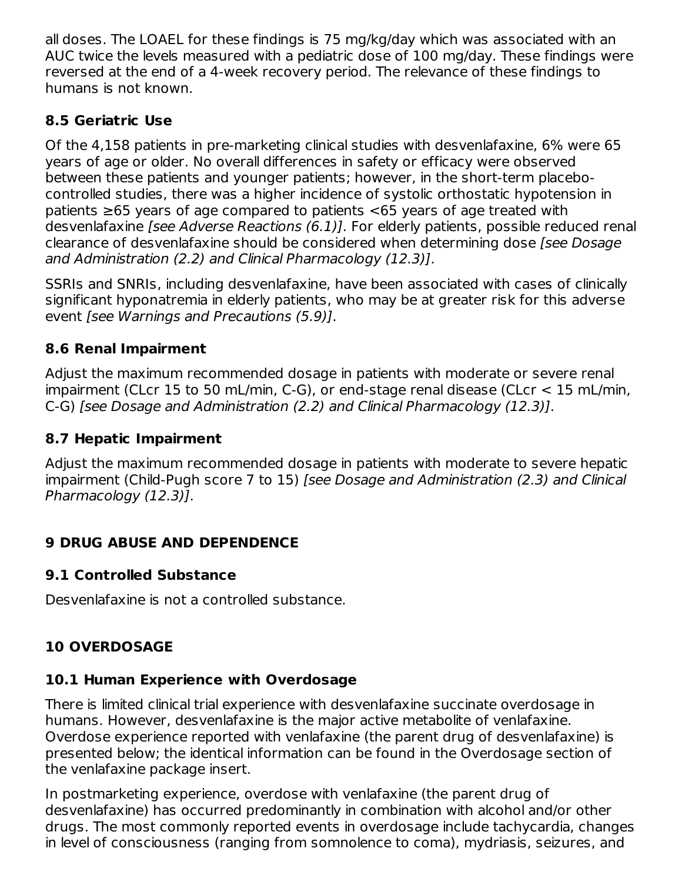all doses. The LOAEL for these findings is 75 mg/kg/day which was associated with an AUC twice the levels measured with a pediatric dose of 100 mg/day. These findings were reversed at the end of a 4-week recovery period. The relevance of these findings to humans is not known.

## **8.5 Geriatric Use**

Of the 4,158 patients in pre-marketing clinical studies with desvenlafaxine, 6% were 65 years of age or older. No overall differences in safety or efficacy were observed between these patients and younger patients; however, in the short-term placebocontrolled studies, there was a higher incidence of systolic orthostatic hypotension in patients ≥65 years of age compared to patients <65 years of age treated with desvenlafaxine [see Adverse Reactions (6.1)]. For elderly patients, possible reduced renal clearance of desvenlafaxine should be considered when determining dose [see Dosage and Administration (2.2) and Clinical Pharmacology (12.3)].

SSRIs and SNRIs, including desvenlafaxine, have been associated with cases of clinically significant hyponatremia in elderly patients, who may be at greater risk for this adverse event [see Warnings and Precautions (5.9)].

## **8.6 Renal Impairment**

Adjust the maximum recommended dosage in patients with moderate or severe renal impairment (CLcr 15 to 50 mL/min, C-G), or end-stage renal disease (CLcr < 15 mL/min, C-G) [see Dosage and Administration (2.2) and Clinical Pharmacology (12.3)].

## **8.7 Hepatic Impairment**

Adjust the maximum recommended dosage in patients with moderate to severe hepatic impairment (Child-Pugh score 7 to 15) [see Dosage and Administration (2.3) and Clinical Pharmacology (12.3)].

## **9 DRUG ABUSE AND DEPENDENCE**

## **9.1 Controlled Substance**

Desvenlafaxine is not a controlled substance.

## **10 OVERDOSAGE**

## **10.1 Human Experience with Overdosage**

There is limited clinical trial experience with desvenlafaxine succinate overdosage in humans. However, desvenlafaxine is the major active metabolite of venlafaxine. Overdose experience reported with venlafaxine (the parent drug of desvenlafaxine) is presented below; the identical information can be found in the Overdosage section of the venlafaxine package insert.

In postmarketing experience, overdose with venlafaxine (the parent drug of desvenlafaxine) has occurred predominantly in combination with alcohol and/or other drugs. The most commonly reported events in overdosage include tachycardia, changes in level of consciousness (ranging from somnolence to coma), mydriasis, seizures, and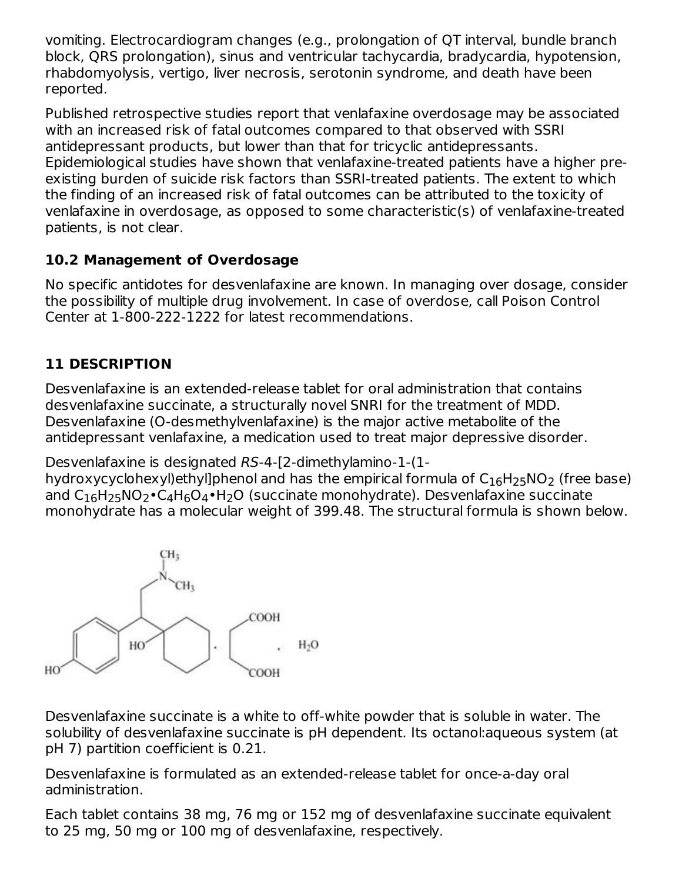vomiting. Electrocardiogram changes (e.g., prolongation of QT interval, bundle branch block, QRS prolongation), sinus and ventricular tachycardia, bradycardia, hypotension, rhabdomyolysis, vertigo, liver necrosis, serotonin syndrome, and death have been reported.

Published retrospective studies report that venlafaxine overdosage may be associated with an increased risk of fatal outcomes compared to that observed with SSRI antidepressant products, but lower than that for tricyclic antidepressants. Epidemiological studies have shown that venlafaxine-treated patients have a higher preexisting burden of suicide risk factors than SSRI-treated patients. The extent to which the finding of an increased risk of fatal outcomes can be attributed to the toxicity of venlafaxine in overdosage, as opposed to some characteristic(s) of venlafaxine-treated patients, is not clear.

## **10.2 Management of Overdosage**

No specific antidotes for desvenlafaxine are known. In managing over dosage, consider the possibility of multiple drug involvement. In case of overdose, call Poison Control Center at 1-800-222-1222 for latest recommendations.

# **11 DESCRIPTION**

Desvenlafaxine is an extended-release tablet for oral administration that contains desvenlafaxine succinate, a structurally novel SNRI for the treatment of MDD. Desvenlafaxine (O-desmethylvenlafaxine) is the major active metabolite of the antidepressant venlafaxine, a medication used to treat major depressive disorder.

Desvenlafaxine is designated RS-4-[2-dimethylamino-1-(1-

hydroxycyclohexyl)ethyl]phenol and has the empirical formula of  $\mathsf{C}_{16}\mathsf{H}_{25}\mathsf{NO}_{2}$  (free base) and C $_{16}$ H $_{25}$ NO $_{2}$ •C $_{4}$ H $_{6}$ O $_{4}$ •H $_{2}$ O (succinate monohydrate). Desvenlafaxine succinate monohydrate has a molecular weight of 399.48. The structural formula is shown below.



Desvenlafaxine succinate is a white to off-white powder that is soluble in water. The solubility of desvenlafaxine succinate is pH dependent. Its octanol:aqueous system (at pH 7) partition coefficient is 0.21.

Desvenlafaxine is formulated as an extended-release tablet for once-a-day oral administration.

Each tablet contains 38 mg, 76 mg or 152 mg of desvenlafaxine succinate equivalent to 25 mg, 50 mg or 100 mg of desvenlafaxine, respectively.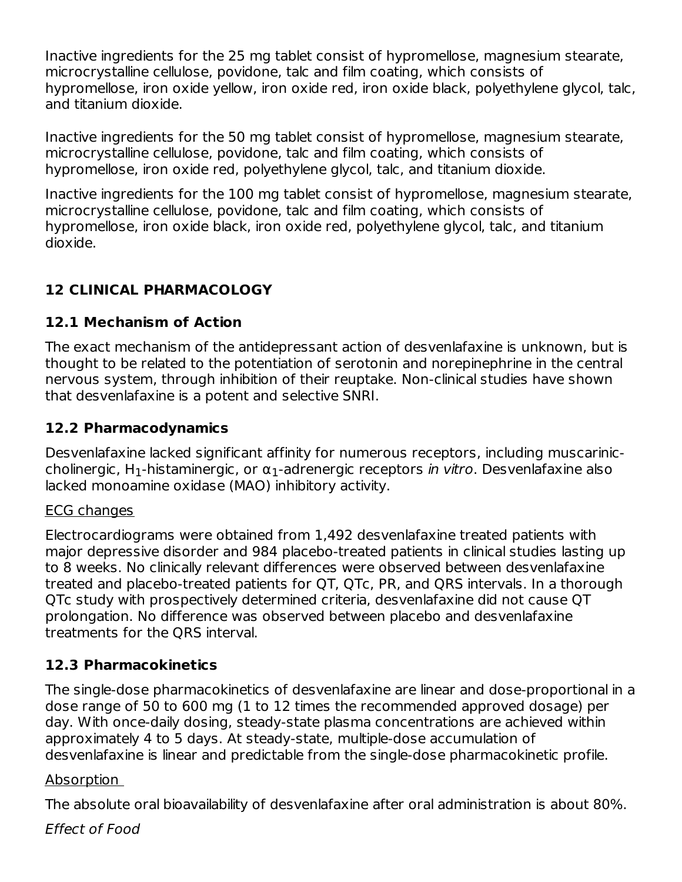Inactive ingredients for the 25 mg tablet consist of hypromellose, magnesium stearate, microcrystalline cellulose, povidone, talc and film coating, which consists of hypromellose, iron oxide yellow, iron oxide red, iron oxide black, polyethylene glycol, talc, and titanium dioxide.

Inactive ingredients for the 50 mg tablet consist of hypromellose, magnesium stearate, microcrystalline cellulose, povidone, talc and film coating, which consists of hypromellose, iron oxide red, polyethylene glycol, talc, and titanium dioxide.

Inactive ingredients for the 100 mg tablet consist of hypromellose, magnesium stearate, microcrystalline cellulose, povidone, talc and film coating, which consists of hypromellose, iron oxide black, iron oxide red, polyethylene glycol, talc, and titanium dioxide.

# **12 CLINICAL PHARMACOLOGY**

## **12.1 Mechanism of Action**

The exact mechanism of the antidepressant action of desvenlafaxine is unknown, but is thought to be related to the potentiation of serotonin and norepinephrine in the central nervous system, through inhibition of their reuptake. Non-clinical studies have shown that desvenlafaxine is a potent and selective SNRI.

## **12.2 Pharmacodynamics**

Desvenlafaxine lacked significant affinity for numerous receptors, including muscariniccholinergic, H $_1$ -histaminergic, or  $\alpha_1$ -adrenergic receptors *in vitro*. Desvenlafaxine also lacked monoamine oxidase (MAO) inhibitory activity.

## ECG changes

Electrocardiograms were obtained from 1,492 desvenlafaxine treated patients with major depressive disorder and 984 placebo-treated patients in clinical studies lasting up to 8 weeks. No clinically relevant differences were observed between desvenlafaxine treated and placebo-treated patients for QT, QTc, PR, and QRS intervals. In a thorough QTc study with prospectively determined criteria, desvenlafaxine did not cause QT prolongation. No difference was observed between placebo and desvenlafaxine treatments for the QRS interval.

## **12.3 Pharmacokinetics**

The single-dose pharmacokinetics of desvenlafaxine are linear and dose-proportional in a dose range of 50 to 600 mg (1 to 12 times the recommended approved dosage) per day. With once-daily dosing, steady-state plasma concentrations are achieved within approximately 4 to 5 days. At steady-state, multiple-dose accumulation of desvenlafaxine is linear and predictable from the single-dose pharmacokinetic profile.

## Absorption

The absolute oral bioavailability of desvenlafaxine after oral administration is about 80%.

Effect of Food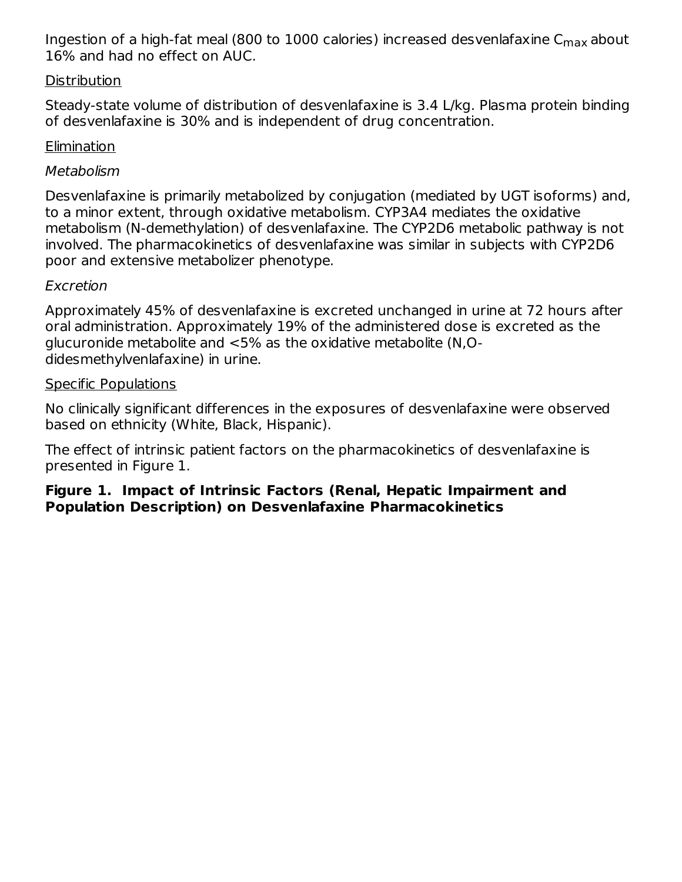Ingestion of a high-fat meal (800 to 1000 calories) increased desvenlafaxine C $_{\sf max}$ about 16% and had no effect on AUC.

#### **Distribution**

Steady-state volume of distribution of desvenlafaxine is 3.4 L/kg. Plasma protein binding of desvenlafaxine is 30% and is independent of drug concentration.

### Elimination

#### Metabolism

Desvenlafaxine is primarily metabolized by conjugation (mediated by UGT isoforms) and, to a minor extent, through oxidative metabolism. CYP3A4 mediates the oxidative metabolism (N-demethylation) of desvenlafaxine. The CYP2D6 metabolic pathway is not involved. The pharmacokinetics of desvenlafaxine was similar in subjects with CYP2D6 poor and extensive metabolizer phenotype.

#### Excretion

Approximately 45% of desvenlafaxine is excreted unchanged in urine at 72 hours after oral administration. Approximately 19% of the administered dose is excreted as the glucuronide metabolite and <5% as the oxidative metabolite (N,Odidesmethylvenlafaxine) in urine.

#### Specific Populations

No clinically significant differences in the exposures of desvenlafaxine were observed based on ethnicity (White, Black, Hispanic).

The effect of intrinsic patient factors on the pharmacokinetics of desvenlafaxine is presented in Figure 1.

### **Figure 1. Impact of Intrinsic Factors (Renal, Hepatic Impairment and Population Description) on Desvenlafaxine Pharmacokinetics**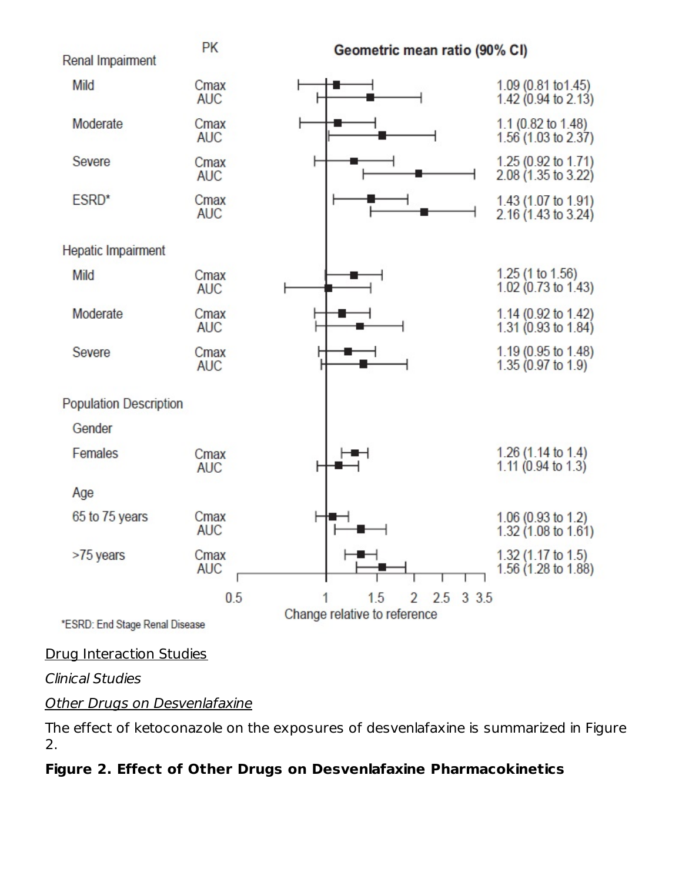

## Drug Interaction Studies

Clinical Studies

### **Other Drugs on Desvenlafaxine**

The effect of ketoconazole on the exposures of desvenlafaxine is summarized in Figure 2.

## **Figure 2. Effect of Other Drugs on Desvenlafaxine Pharmacokinetics**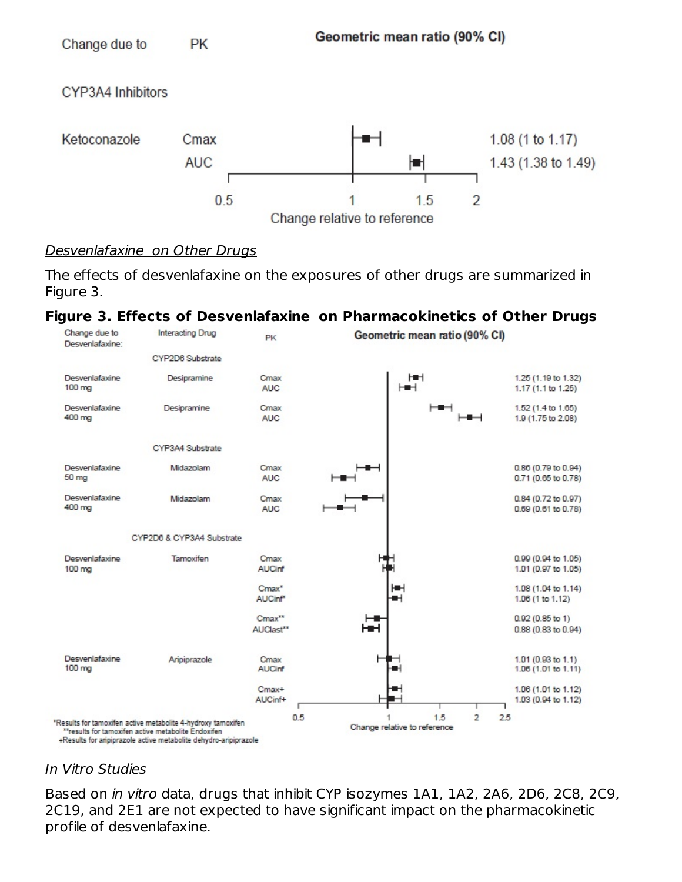

#### Desvenlafaxine on Other Drugs

The effects of desvenlafaxine on the exposures of other drugs are summarized in Figure 3.

### **Figure 3. Effects of Desvenlafaxine on Pharmacokinetics of Other Drugs**



#### In Vitro Studies

Based on in vitro data, drugs that inhibit CYP isozymes 1A1, 1A2, 2A6, 2D6, 2C8, 2C9, 2C19, and 2E1 are not expected to have significant impact on the pharmacokinetic profile of desvenlafaxine.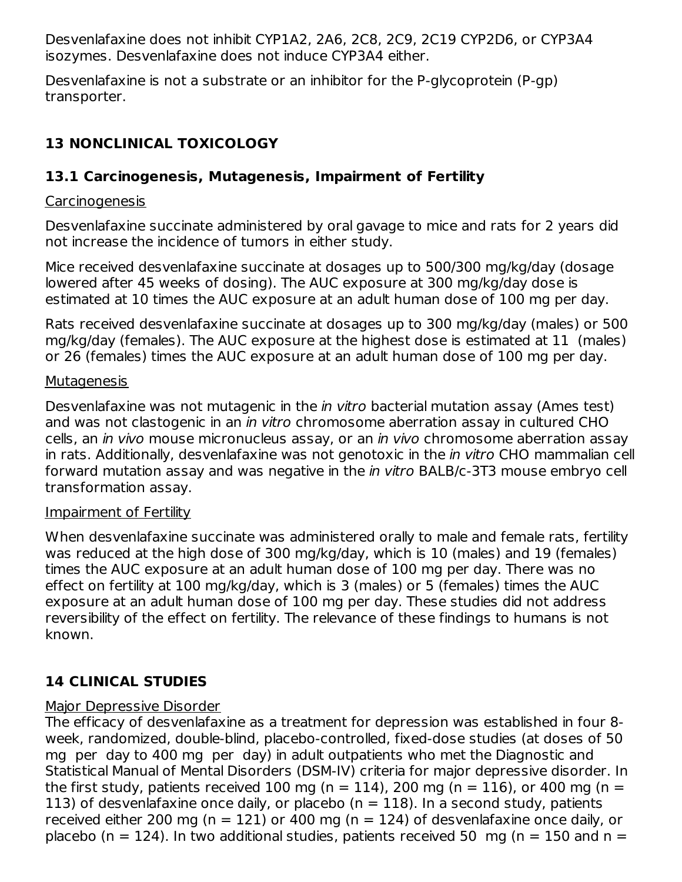Desvenlafaxine does not inhibit CYP1A2, 2A6, 2C8, 2C9, 2C19 CYP2D6, or CYP3A4 isozymes. Desvenlafaxine does not induce CYP3A4 either.

Desvenlafaxine is not a substrate or an inhibitor for the P-glycoprotein (P-gp) transporter.

## **13 NONCLINICAL TOXICOLOGY**

## **13.1 Carcinogenesis, Mutagenesis, Impairment of Fertility**

### **Carcinogenesis**

Desvenlafaxine succinate administered by oral gavage to mice and rats for 2 years did not increase the incidence of tumors in either study.

Mice received desvenlafaxine succinate at dosages up to 500/300 mg/kg/day (dosage lowered after 45 weeks of dosing). The AUC exposure at 300 mg/kg/day dose is estimated at 10 times the AUC exposure at an adult human dose of 100 mg per day.

Rats received desvenlafaxine succinate at dosages up to 300 mg/kg/day (males) or 500 mg/kg/day (females). The AUC exposure at the highest dose is estimated at 11 (males) or 26 (females) times the AUC exposure at an adult human dose of 100 mg per day.

### **Mutagenesis**

Desvenlafaxine was not mutagenic in the *in vitro* bacterial mutation assay (Ames test) and was not clastogenic in an in vitro chromosome aberration assay in cultured CHO cells, an in vivo mouse micronucleus assay, or an in vivo chromosome aberration assay in rats. Additionally, desvenlafaxine was not genotoxic in the *in vitro* CHO mammalian cell forward mutation assay and was negative in the *in vitro* BALB/c-3T3 mouse embryo cell transformation assay.

### Impairment of Fertility

When desvenlafaxine succinate was administered orally to male and female rats, fertility was reduced at the high dose of 300 mg/kg/day, which is 10 (males) and 19 (females) times the AUC exposure at an adult human dose of 100 mg per day. There was no effect on fertility at 100 mg/kg/day, which is 3 (males) or 5 (females) times the AUC exposure at an adult human dose of 100 mg per day. These studies did not address reversibility of the effect on fertility. The relevance of these findings to humans is not known.

## **14 CLINICAL STUDIES**

## Major Depressive Disorder

The efficacy of desvenlafaxine as a treatment for depression was established in four 8 week, randomized, double-blind, placebo-controlled, fixed-dose studies (at doses of 50 mg per day to 400 mg per day) in adult outpatients who met the Diagnostic and Statistical Manual of Mental Disorders (DSM-IV) criteria for major depressive disorder. In the first study, patients received 100 mg (n = 114), 200 mg (n = 116), or 400 mg (n = 113) of desvenlafaxine once daily, or placebo ( $n = 118$ ). In a second study, patients received either 200 mg ( $n = 121$ ) or 400 mg ( $n = 124$ ) of desvenlafaxine once daily, or placebo (n = 124). In two additional studies, patients received 50 mg (n = 150 and n =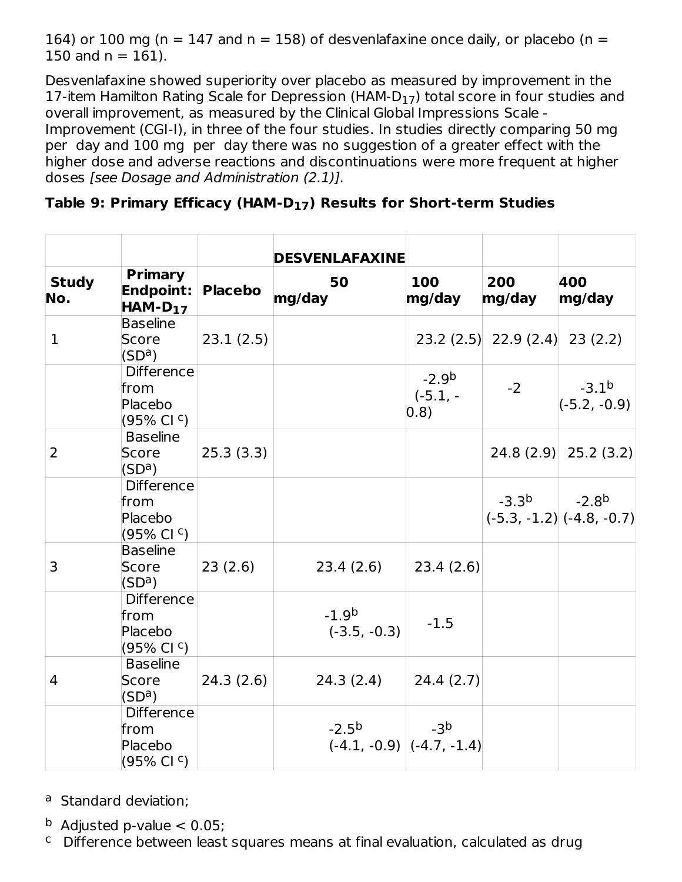164) or 100 mg ( $n = 147$  and  $n = 158$ ) of desvenlafaxine once daily, or placebo ( $n =$ 150 and  $n = 161$ ).

Desvenlafaxine showed superiority over placebo as measured by improvement in the 17-item Hamilton Rating Scale for Depression (HAM-D $_{\rm 17}$ ) total score in four studies and overall improvement, as measured by the Clinical Global Impressions Scale - Improvement (CGI-I), in three of the four studies. In studies directly comparing 50 mg per day and 100 mg per day there was no suggestion of a greater effect with the higher dose and adverse reactions and discontinuations were more frequent at higher doses [see Dosage and Administration (2.1)].

## **Table 9: Primary Efficacy (HAM-D ) Results for Short-term Studies 17**

|                     |                                                                      |                | <b>DESVENLAFAXINE</b>                       |                                |                                  |                               |
|---------------------|----------------------------------------------------------------------|----------------|---------------------------------------------|--------------------------------|----------------------------------|-------------------------------|
| <b>Study</b><br>No. | <b>Primary</b><br><b>Endpoint:</b><br>$HAM-D_{17}$                   | <b>Placebo</b> | 50<br>mg/day                                | 100<br>mg/day                  | 200<br>mg/day                    | 400<br>mg/day                 |
| $\mathbf 1$         | <b>Baseline</b><br>Score<br>(SD <sup>a</sup> )                       | 23.1(2.5)      |                                             |                                | $23.2$ (2.5) 22.9 (2.4) 23 (2.2) |                               |
|                     | <b>Difference</b><br>from<br>Placebo<br>$(95\% \text{ CI} \text{C})$ |                |                                             | $-2.9b$<br>$(-5.1, -$<br>(0.8) | $-2$                             | $-3.1b$<br>$(-5.2, -0.9)$     |
| 2                   | <b>Baseline</b><br>Score<br>(SD <sup>a</sup> )                       | 25.3(3.3)      |                                             |                                |                                  | 24.8 (2.9) 25.2 (3.2)         |
|                     | <b>Difference</b><br>from<br>Placebo<br>$(95\% \text{ CI}^{\circ})$  |                |                                             |                                | $-3.3b$ $-2.8b$                  | $(-5.3, -1.2)$ $(-4.8, -0.7)$ |
| 3                   | <b>Baseline</b><br>Score<br>(SD <sup>a</sup> )                       | 23(2.6)        | 23.4(2.6)                                   | 23.4(2.6)                      |                                  |                               |
|                     | <b>Difference</b><br>from<br>Placebo<br>$(95\% \text{ CI}^{\circ})$  |                | $-1.9b$<br>$(-3.5, -0.3)$                   | $-1.5$                         |                                  |                               |
| $\overline{4}$      | <b>Baseline</b><br>Score<br>(SD <sup>a</sup> )                       | 24.3(2.6)      | 24.3(2.4)                                   | 24.4(2.7)                      |                                  |                               |
|                     | <b>Difference</b><br>from<br>Placebo<br>(95% CI <sup>c</sup> )       |                | $-2.5^{b}$<br>$(-4.1, -0.9)$ $(-4.7, -1.4)$ | $-3b$                          |                                  |                               |

<sup>a</sup> Standard deviation;

 $^{\rm b}$  Adjusted p-value  $< 0.05$ ;

<sup>c</sup> Difference between least squares means at final evaluation, calculated as drug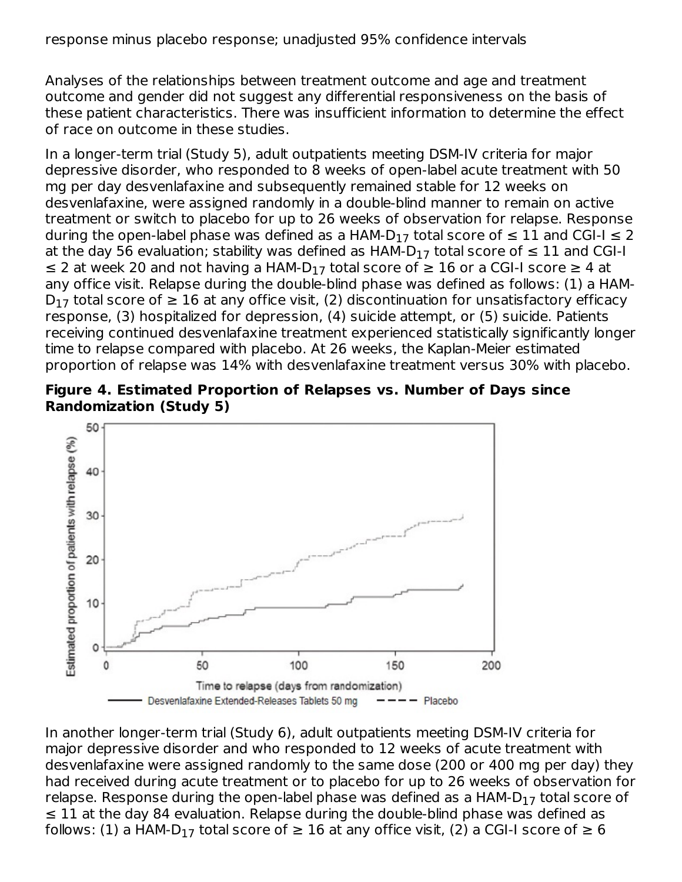Analyses of the relationships between treatment outcome and age and treatment outcome and gender did not suggest any differential responsiveness on the basis of these patient characteristics. There was insufficient information to determine the effect of race on outcome in these studies.

In a longer-term trial (Study 5), adult outpatients meeting DSM-IV criteria for major depressive disorder, who responded to 8 weeks of open-label acute treatment with 50 mg per day desvenlafaxine and subsequently remained stable for 12 weeks on desvenlafaxine, were assigned randomly in a double-blind manner to remain on active treatment or switch to placebo for up to 26 weeks of observation for relapse. Response during the open-label phase was defined as a HAM-D $_{17}$  total score of  $\leq 11$  and CGI-I  $\leq 2$ at the day 56 evaluation; stability was defined as  ${\sf HAM\text{-}D_{17}}$  total score of  $\le 11$  and CGI-I ≤ 2 at week 20 and not having a HAM-D<sub>17</sub> total score of ≥ 16 or a CGI-I score ≥ 4 at any office visit. Relapse during the double-blind phase was defined as follows: (1) a HAM-D<sub>17</sub> total score of  $\geq 16$  at any office visit, (2) discontinuation for unsatisfactory efficacy response, (3) hospitalized for depression, (4) suicide attempt, or (5) suicide. Patients receiving continued desvenlafaxine treatment experienced statistically significantly longer time to relapse compared with placebo. At 26 weeks, the Kaplan-Meier estimated proportion of relapse was 14% with desvenlafaxine treatment versus 30% with placebo.





In another longer-term trial (Study 6), adult outpatients meeting DSM-IV criteria for major depressive disorder and who responded to 12 weeks of acute treatment with desvenlafaxine were assigned randomly to the same dose (200 or 400 mg per day) they had received during acute treatment or to placebo for up to 26 weeks of observation for relapse. Response during the open-label phase was defined as a  ${\sf HAM}\text{-}\mathsf{D}_{17}$  total score of ≤ 11 at the day 84 evaluation. Relapse during the double-blind phase was defined as follows: (1) a HAM-D $_{17}$  total score of  $\geq 16$  at any office visit, (2) a CGI-I score of  $\geq 6$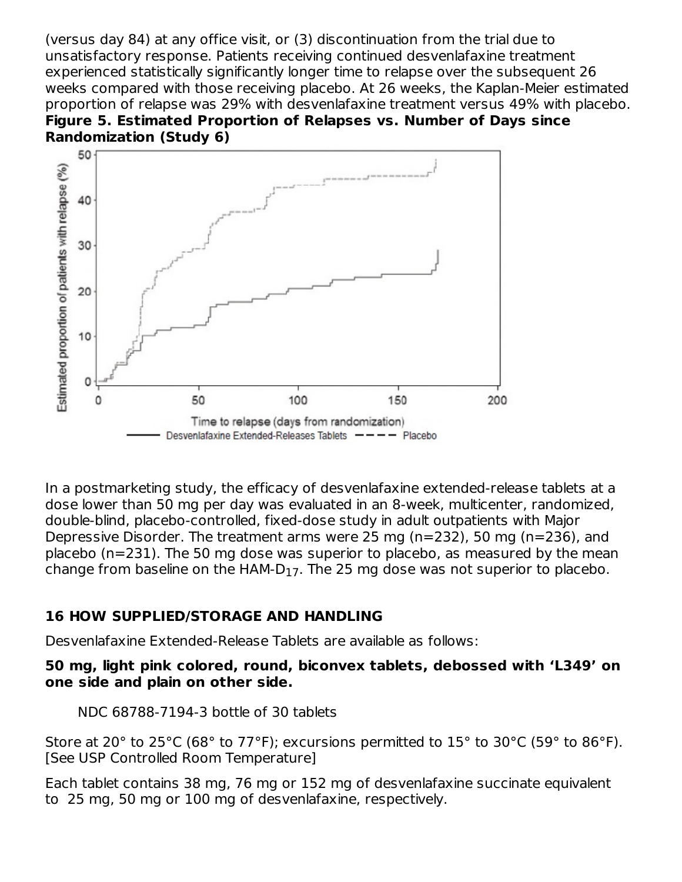(versus day 84) at any office visit, or (3) discontinuation from the trial due to unsatisfactory response. Patients receiving continued desvenlafaxine treatment experienced statistically significantly longer time to relapse over the subsequent 26 weeks compared with those receiving placebo. At 26 weeks, the Kaplan-Meier estimated proportion of relapse was 29% with desvenlafaxine treatment versus 49% with placebo. **Figure 5. Estimated Proportion of Relapses vs. Number of Days since Randomization (Study 6)**



In a postmarketing study, the efficacy of desvenlafaxine extended-release tablets at a dose lower than 50 mg per day was evaluated in an 8-week, multicenter, randomized, double-blind, placebo-controlled, fixed-dose study in adult outpatients with Major Depressive Disorder. The treatment arms were 25 mg (n=232), 50 mg (n=236), and placebo (n=231). The 50 mg dose was superior to placebo, as measured by the mean change from baseline on the HAM-D $_{\rm 17}$ . The 25 mg dose was not superior to placebo.

### **16 HOW SUPPLIED/STORAGE AND HANDLING**

Desvenlafaxine Extended-Release Tablets are available as follows:

### **50 mg, light pink colored, round, biconvex tablets, debossed with 'L349' on one side and plain on other side.**

NDC 68788-7194-3 bottle of 30 tablets

Store at 20 $^{\circ}$  to 25 $^{\circ}$ C (68 $^{\circ}$  to 77 $^{\circ}$ F); excursions permitted to 15 $^{\circ}$  to 30 $^{\circ}$ C (59 $^{\circ}$  to 86 $^{\circ}$ F). [See USP Controlled Room Temperature]

Each tablet contains 38 mg, 76 mg or 152 mg of desvenlafaxine succinate equivalent to 25 mg, 50 mg or 100 mg of desvenlafaxine, respectively.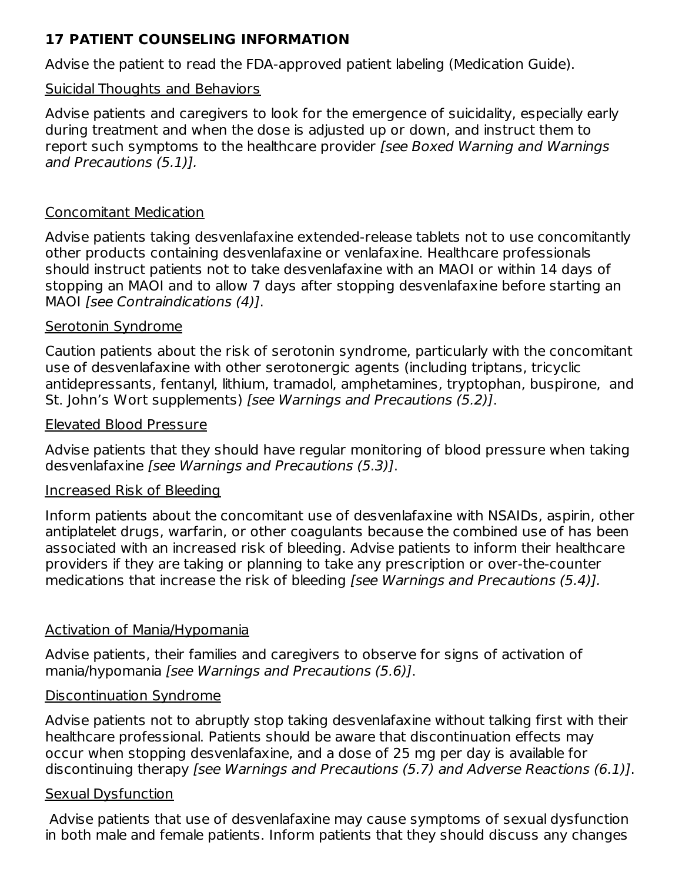## **17 PATIENT COUNSELING INFORMATION**

Advise the patient to read the FDA-approved patient labeling (Medication Guide).

#### Suicidal Thoughts and Behaviors

Advise patients and caregivers to look for the emergence of suicidality, especially early during treatment and when the dose is adjusted up or down, and instruct them to report such symptoms to the healthcare provider [see Boxed Warning and Warnings] and Precautions (5.1)].

#### Concomitant Medication

Advise patients taking desvenlafaxine extended-release tablets not to use concomitantly other products containing desvenlafaxine or venlafaxine. Healthcare professionals should instruct patients not to take desvenlafaxine with an MAOI or within 14 days of stopping an MAOI and to allow 7 days after stopping desvenlafaxine before starting an MAOI *[see Contraindications (4)]*.

#### Serotonin Syndrome

Caution patients about the risk of serotonin syndrome, particularly with the concomitant use of desvenlafaxine with other serotonergic agents (including triptans, tricyclic antidepressants, fentanyl, lithium, tramadol, amphetamines, tryptophan, buspirone, and St. John's Wort supplements) [see Warnings and Precautions (5.2)].

#### Elevated Blood Pressure

Advise patients that they should have regular monitoring of blood pressure when taking desvenlafaxine [see Warnings and Precautions (5.3)].

### Increased Risk of Bleeding

Inform patients about the concomitant use of desvenlafaxine with NSAIDs, aspirin, other antiplatelet drugs, warfarin, or other coagulants because the combined use of has been associated with an increased risk of bleeding. Advise patients to inform their healthcare providers if they are taking or planning to take any prescription or over-the-counter medications that increase the risk of bleeding [see Warnings and Precautions (5.4)].

### Activation of Mania/Hypomania

Advise patients, their families and caregivers to observe for signs of activation of mania/hypomania [see Warnings and Precautions (5.6)].

### Discontinuation Syndrome

Advise patients not to abruptly stop taking desvenlafaxine without talking first with their healthcare professional. Patients should be aware that discontinuation effects may occur when stopping desvenlafaxine, and a dose of 25 mg per day is available for discontinuing therapy [see Warnings and Precautions (5.7) and Adverse Reactions (6.1)].

### Sexual Dysfunction

Advise patients that use of desvenlafaxine may cause symptoms of sexual dysfunction in both male and female patients. Inform patients that they should discuss any changes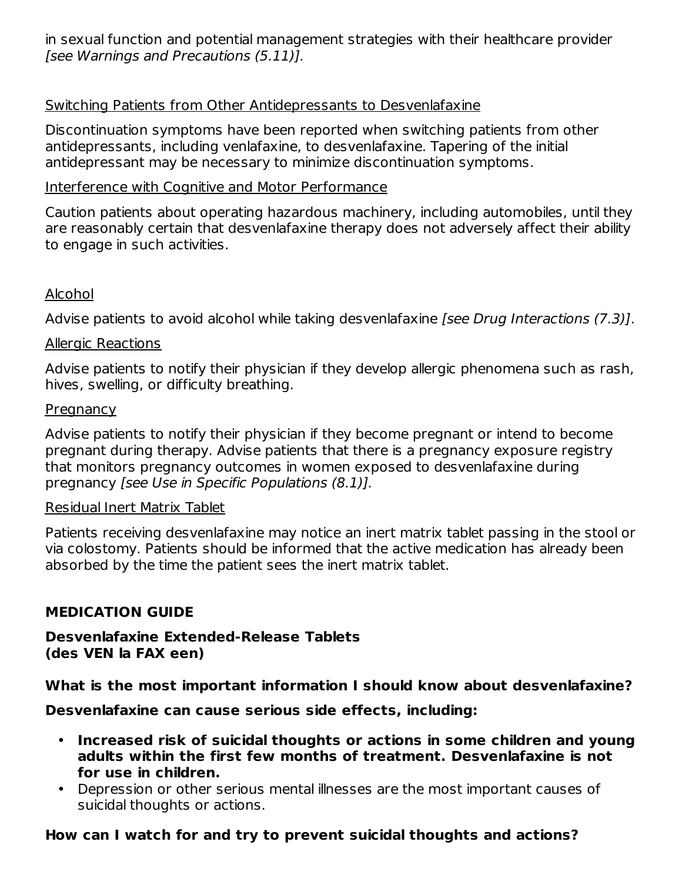in sexual function and potential management strategies with their healthcare provider [see Warnings and Precautions (5.11)].

### Switching Patients from Other Antidepressants to Desvenlafaxine

Discontinuation symptoms have been reported when switching patients from other antidepressants, including venlafaxine, to desvenlafaxine. Tapering of the initial antidepressant may be necessary to minimize discontinuation symptoms.

#### Interference with Cognitive and Motor Performance

Caution patients about operating hazardous machinery, including automobiles, until they are reasonably certain that desvenlafaxine therapy does not adversely affect their ability to engage in such activities.

### Alcohol

Advise patients to avoid alcohol while taking desvenlafaxine [see Drug Interactions (7.3)].

### Allergic Reactions

Advise patients to notify their physician if they develop allergic phenomena such as rash, hives, swelling, or difficulty breathing.

### **Pregnancy**

Advise patients to notify their physician if they become pregnant or intend to become pregnant during therapy. Advise patients that there is a pregnancy exposure registry that monitors pregnancy outcomes in women exposed to desvenlafaxine during pregnancy [see Use in Specific Populations (8.1)].

### Residual Inert Matrix Tablet

Patients receiving desvenlafaxine may notice an inert matrix tablet passing in the stool or via colostomy. Patients should be informed that the active medication has already been absorbed by the time the patient sees the inert matrix tablet.

## **MEDICATION GUIDE**

**Desvenlafaxine Extended-Release Tablets (des VEN la FAX een)**

## **What is the most important information I should know about desvenlafaxine?**

**Desvenlafaxine can cause serious side effects, including:**

- **Increased risk of suicidal thoughts or actions in some children and young adults within the first few months of treatment. Desvenlafaxine is not for use in children.**
- Depression or other serious mental illnesses are the most important causes of suicidal thoughts or actions.

## **How can I watch for and try to prevent suicidal thoughts and actions?**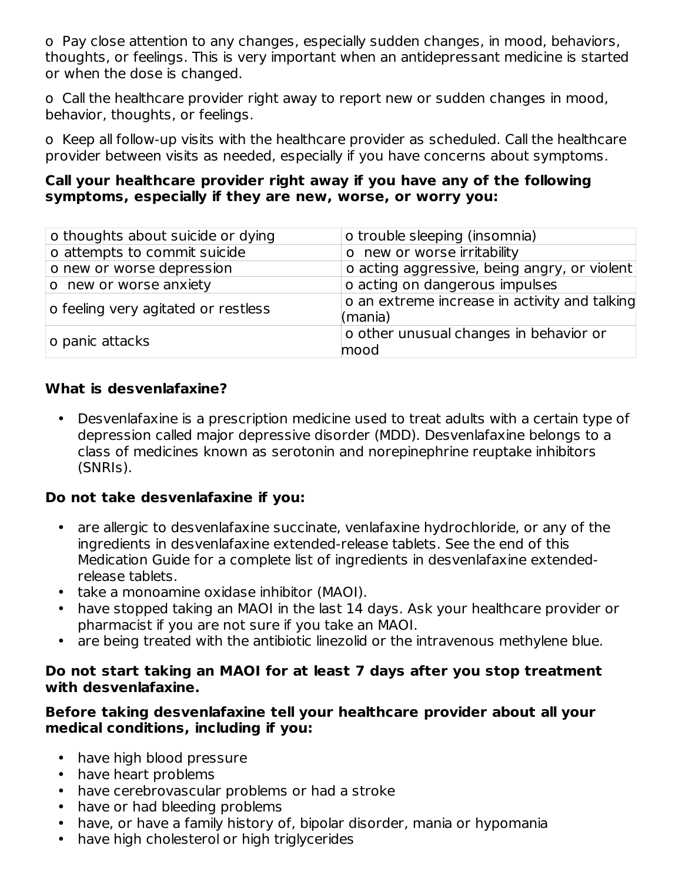o Pay close attention to any changes, especially sudden changes, in mood, behaviors, thoughts, or feelings. This is very important when an antidepressant medicine is started or when the dose is changed.

o Call the healthcare provider right away to report new or sudden changes in mood, behavior, thoughts, or feelings.

o Keep all follow-up visits with the healthcare provider as scheduled. Call the healthcare provider between visits as needed, especially if you have concerns about symptoms.

### **Call your healthcare provider right away if you have any of the following symptoms, especially if they are new, worse, or worry you:**

| o thoughts about suicide or dying   | o trouble sleeping (insomnia)                            |
|-------------------------------------|----------------------------------------------------------|
| o attempts to commit suicide        | o new or worse irritability                              |
| o new or worse depression           | o acting aggressive, being angry, or violent             |
| o new or worse anxiety              | o acting on dangerous impulses                           |
| o feeling very agitated or restless | o an extreme increase in activity and talking<br>(mania) |
| o panic attacks                     | o other unusual changes in behavior or<br>mood           |

### **What is desvenlafaxine?**

• Desvenlafaxine is a prescription medicine used to treat adults with a certain type of depression called major depressive disorder (MDD). Desvenlafaxine belongs to a class of medicines known as serotonin and norepinephrine reuptake inhibitors (SNRIs).

### **Do not take desvenlafaxine if you:**

- are allergic to desvenlafaxine succinate, venlafaxine hydrochloride, or any of the ingredients in desvenlafaxine extended-release tablets. See the end of this Medication Guide for a complete list of ingredients in desvenlafaxine extendedrelease tablets.
- take a monoamine oxidase inhibitor (MAOI).
- have stopped taking an MAOI in the last 14 days. Ask your healthcare provider or pharmacist if you are not sure if you take an MAOI.
- are being treated with the antibiotic linezolid or the intravenous methylene blue.

### **Do not start taking an MAOI for at least 7 days after you stop treatment with desvenlafaxine.**

### **Before taking desvenlafaxine tell your healthcare provider about all your medical conditions, including if you:**

- have high blood pressure
- have heart problems
- have cerebrovascular problems or had a stroke
- have or had bleeding problems
- have, or have a family history of, bipolar disorder, mania or hypomania
- have high cholesterol or high triglycerides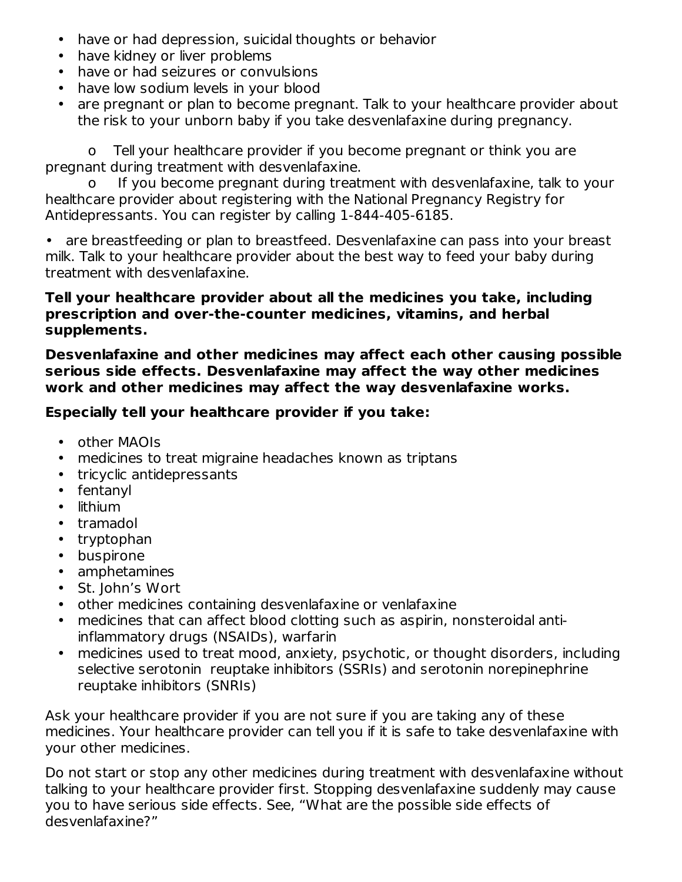- have or had depression, suicidal thoughts or behavior
- have kidney or liver problems
- have or had seizures or convulsions
- have low sodium levels in your blood
- are pregnant or plan to become pregnant. Talk to your healthcare provider about the risk to your unborn baby if you take desvenlafaxine during pregnancy.

o Tell your healthcare provider if you become pregnant or think you are pregnant during treatment with desvenlafaxine.

If you become pregnant during treatment with desvenlafaxine, talk to your healthcare provider about registering with the National Pregnancy Registry for Antidepressants. You can register by calling 1-844-405-6185.

are breastfeeding or plan to breastfeed. Desvenlafaxine can pass into your breast milk. Talk to your healthcare provider about the best way to feed your baby during treatment with desvenlafaxine.

#### **Tell your healthcare provider about all the medicines you take, including prescription and over-the-counter medicines, vitamins, and herbal supplements.**

**Desvenlafaxine and other medicines may affect each other causing possible serious side effects. Desvenlafaxine may affect the way other medicines work and other medicines may affect the way desvenlafaxine works.**

## **Especially tell your healthcare provider if you take:**

- other MAOIs
- medicines to treat migraine headaches known as triptans
- tricyclic antidepressants
- fentanyl
- lithium
- tramadol
- tryptophan
- buspirone
- amphetamines
- St. John's Wort
- other medicines containing desvenlafaxine or venlafaxine
- medicines that can affect blood clotting such as aspirin, nonsteroidal antiinflammatory drugs (NSAIDs), warfarin
- medicines used to treat mood, anxiety, psychotic, or thought disorders, including selective serotonin reuptake inhibitors (SSRIs) and serotonin norepinephrine reuptake inhibitors (SNRIs)

Ask your healthcare provider if you are not sure if you are taking any of these medicines. Your healthcare provider can tell you if it is safe to take desvenlafaxine with your other medicines.

Do not start or stop any other medicines during treatment with desvenlafaxine without talking to your healthcare provider first. Stopping desvenlafaxine suddenly may cause you to have serious side effects. See, "What are the possible side effects of desvenlafaxine?"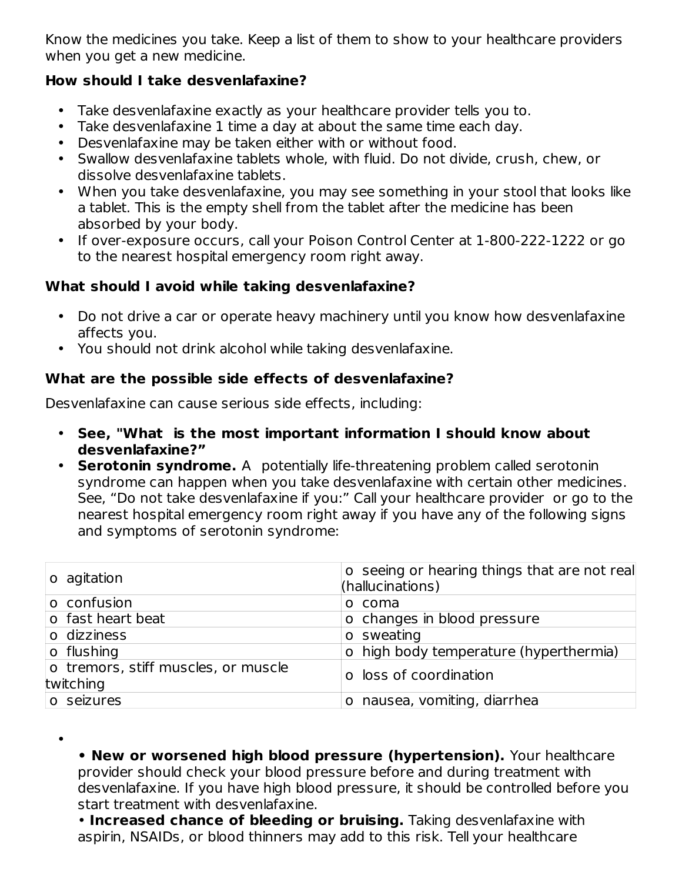Know the medicines you take. Keep a list of them to show to your healthcare providers when you get a new medicine.

### **How should I take desvenlafaxine?**

- Take desvenlafaxine exactly as your healthcare provider tells you to.
- Take desvenlafaxine 1 time a day at about the same time each day.
- Desvenlafaxine may be taken either with or without food.
- Swallow desvenlafaxine tablets whole, with fluid. Do not divide, crush, chew, or dissolve desvenlafaxine tablets.
- When you take desvenlafaxine, you may see something in your stool that looks like a tablet. This is the empty shell from the tablet after the medicine has been absorbed by your body.
- If over-exposure occurs, call your Poison Control Center at 1-800-222-1222 or go to the nearest hospital emergency room right away.

## **What should I avoid while taking desvenlafaxine?**

- Do not drive a car or operate heavy machinery until you know how desvenlafaxine affects you.
- You should not drink alcohol while taking desvenlafaxine.

## **What are the possible side effects of desvenlafaxine?**

Desvenlafaxine can cause serious side effects, including:

•

- **See, "What is the most important information I should know about desvenlafaxine?"**
- **Serotonin syndrome.** A potentially life-threatening problem called serotonin syndrome can happen when you take desvenlafaxine with certain other medicines. See, "Do not take desvenlafaxine if you:" Call your healthcare provider or go to the nearest hospital emergency room right away if you have any of the following signs and symptoms of serotonin syndrome:

| $ o\>$ agitation                                 | o seeing or hearing things that are not real<br>(hallucinations) |
|--------------------------------------------------|------------------------------------------------------------------|
| o confusion                                      | o coma                                                           |
| o fast heart beat                                | o changes in blood pressure                                      |
| o dizziness                                      | o sweating                                                       |
| o flushing                                       | o high body temperature (hyperthermia)                           |
| o tremors, stiff muscles, or muscle<br>twitching | o loss of coordination                                           |
| o seizures                                       | nausea, vomiting, diarrhea<br>$\Omega$                           |

**• New or worsened high blood pressure (hypertension).** Your healthcare provider should check your blood pressure before and during treatment with desvenlafaxine. If you have high blood pressure, it should be controlled before you start treatment with desvenlafaxine.

• **Increased chance of bleeding or bruising.** Taking desvenlafaxine with aspirin, NSAIDs, or blood thinners may add to this risk. Tell your healthcare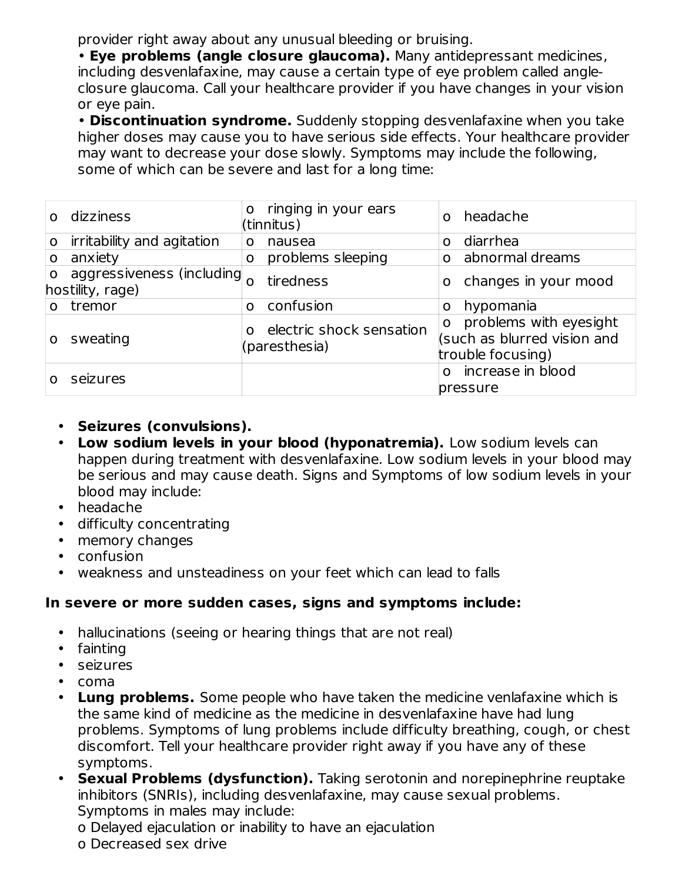provider right away about any unusual bleeding or bruising.

• **Eye problems (angle closure glaucoma).** Many antidepressant medicines, including desvenlafaxine, may cause a certain type of eye problem called angleclosure glaucoma. Call your healthcare provider if you have changes in your vision or eye pain.

• **Discontinuation syndrome.** Suddenly stopping desvenlafaxine when you take higher doses may cause you to have serious side effects. Your healthcare provider may want to decrease your dose slowly. Symptoms may include the following, some of which can be severe and last for a long time:

| O        | dizziness                                     | $\mathsf{o}$ | ringing in your ears<br>(tinnitus)    | O        | headache                                                                   |
|----------|-----------------------------------------------|--------------|---------------------------------------|----------|----------------------------------------------------------------------------|
| O        | irritability and agitation                    | O            | nausea                                | $\Omega$ | diarrhea                                                                   |
| O        | anxiety                                       | $\mathsf{O}$ | problems sleeping                     | 0        | abnormal dreams                                                            |
| 0        | aggressiveness (including<br>hostility, rage) |              | tiredness                             | 0        | changes in your mood                                                       |
| $\Omega$ | tremor                                        | $\Omega$     | confusion                             | O        | hypomania                                                                  |
| $\Omega$ | sweating                                      | $\Omega$     | electric shock sensation<br>(parents) | O        | problems with eyesight<br>(such as blurred vision and<br>trouble focusing) |
|          | seizures                                      |              |                                       | O        | increase in blood<br>pressure                                              |

- **Seizures (convulsions).**
- **Low sodium levels in your blood (hyponatremia).** Low sodium levels can happen during treatment with desvenlafaxine. Low sodium levels in your blood may be serious and may cause death. Signs and Symptoms of low sodium levels in your blood may include:
- headache
- difficulty concentrating
- memory changes
- confusion
- weakness and unsteadiness on your feet which can lead to falls

### **In severe or more sudden cases, signs and symptoms include:**

- hallucinations (seeing or hearing things that are not real)
- fainting
- seizures
- coma
- **Lung problems.** Some people who have taken the medicine venlafaxine which is the same kind of medicine as the medicine in desvenlafaxine have had lung problems. Symptoms of lung problems include difficulty breathing, cough, or chest discomfort. Tell your healthcare provider right away if you have any of these symptoms.
- **Sexual Problems (dysfunction).** Taking serotonin and norepinephrine reuptake inhibitors (SNRIs), including desvenlafaxine, may cause sexual problems. Symptoms in males may include:
	- o Delayed ejaculation or inability to have an ejaculation
	- o Decreased sex drive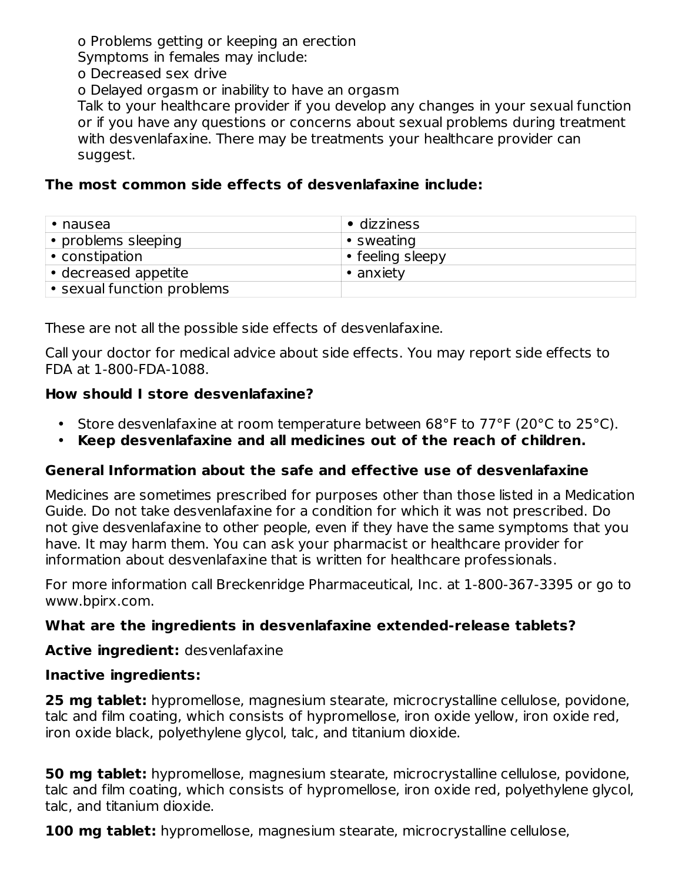o Problems getting or keeping an erection

Symptoms in females may include:

o Decreased sex drive

o Delayed orgasm or inability to have an orgasm

Talk to your healthcare provider if you develop any changes in your sexual function or if you have any questions or concerns about sexual problems during treatment with desvenlafaxine. There may be treatments your healthcare provider can suggest.

## **The most common side effects of desvenlafaxine include:**

| $\bullet$ nausea           | $\bullet$ dizziness |
|----------------------------|---------------------|
| • problems sleeping        | $\bullet$ sweating  |
| • constipation             | • feeling sleepy    |
| • decreased appetite       | • anxiety           |
| • sexual function problems |                     |

These are not all the possible side effects of desvenlafaxine.

Call your doctor for medical advice about side effects. You may report side effects to FDA at 1-800-FDA-1088.

## **How should I store desvenlafaxine?**

- Store desvenlafaxine at room temperature between 68°F to 77°F (20°C to 25°C).
- **Keep desvenlafaxine and all medicines out of the reach of children.**

## **General Information about the safe and effective use of desvenlafaxine**

Medicines are sometimes prescribed for purposes other than those listed in a Medication Guide. Do not take desvenlafaxine for a condition for which it was not prescribed. Do not give desvenlafaxine to other people, even if they have the same symptoms that you have. It may harm them. You can ask your pharmacist or healthcare provider for information about desvenlafaxine that is written for healthcare professionals.

For more information call Breckenridge Pharmaceutical, Inc. at 1-800-367-3395 or go to www.bpirx.com.

## **What are the ingredients in desvenlafaxine extended-release tablets?**

**Active ingredient:** desvenlafaxine

## **Inactive ingredients:**

**25 mg tablet:** hypromellose, magnesium stearate, microcrystalline cellulose, povidone, talc and film coating, which consists of hypromellose, iron oxide yellow, iron oxide red, iron oxide black, polyethylene glycol, talc, and titanium dioxide.

**50 mg tablet:** hypromellose, magnesium stearate, microcrystalline cellulose, povidone, talc and film coating, which consists of hypromellose, iron oxide red, polyethylene glycol, talc, and titanium dioxide.

**100 mg tablet:** hypromellose, magnesium stearate, microcrystalline cellulose,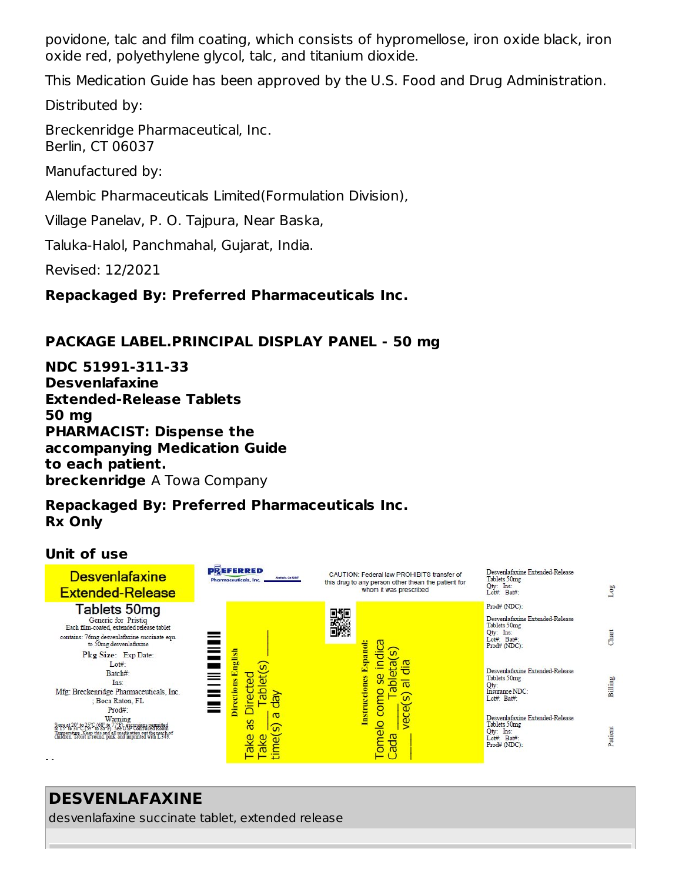povidone, talc and film coating, which consists of hypromellose, iron oxide black, iron oxide red, polyethylene glycol, talc, and titanium dioxide.

This Medication Guide has been approved by the U.S. Food and Drug Administration.

Distributed by:

Breckenridge Pharmaceutical, Inc. Berlin, CT 06037

Manufactured by:

Alembic Pharmaceuticals Limited(Formulation Division),

Village Panelav, P. O. Tajpura, Near Baska,

Taluka-Halol, Panchmahal, Gujarat, India.

Revised: 12/2021

### **Repackaged By: Preferred Pharmaceuticals Inc.**

### **PACKAGE LABEL.PRINCIPAL DISPLAY PANEL - 50 mg**

**NDC 51991-311-33 Desvenlafaxine Extended-Release Tablets 50 mg PHARMACIST: Dispense the accompanying Medication Guide to each patient. breckenridge** A Towa Company

**Repackaged By: Preferred Pharmaceuticals Inc. Rx Only**

#### **Unit of use**



## **DESVENLAFAXINE**

desvenlafaxine succinate tablet, extended release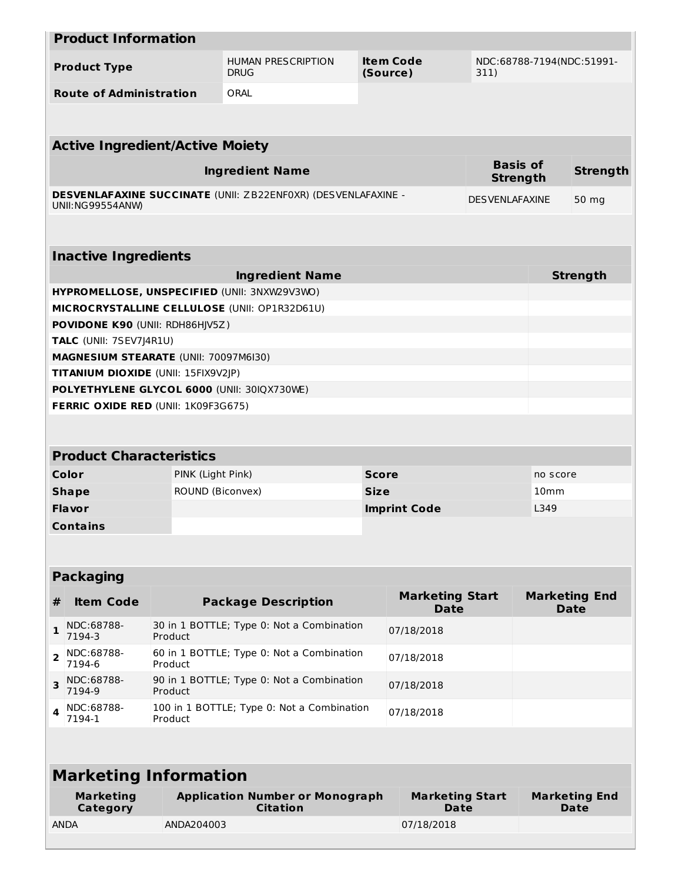| <b>Product Information</b>                                      |                                                                     |                                                                      |              |                                       |                                    |                  |                                     |
|-----------------------------------------------------------------|---------------------------------------------------------------------|----------------------------------------------------------------------|--------------|---------------------------------------|------------------------------------|------------------|-------------------------------------|
| <b>HUMAN PRESCRIPTION</b><br><b>Product Type</b><br><b>DRUG</b> |                                                                     |                                                                      | (Source)     | <b>Item Code</b>                      | NDC:68788-7194(NDC:51991-<br>311)  |                  |                                     |
|                                                                 | <b>Route of Administration</b><br>ORAL                              |                                                                      |              |                                       |                                    |                  |                                     |
|                                                                 |                                                                     |                                                                      |              |                                       |                                    |                  |                                     |
| <b>Active Ingredient/Active Moiety</b>                          |                                                                     |                                                                      |              |                                       |                                    |                  |                                     |
|                                                                 |                                                                     | <b>Ingredient Name</b>                                               |              |                                       | <b>Basis of</b><br><b>Strength</b> |                  | <b>Strength</b>                     |
| <b>UNII:NG99554ANW)</b>                                         |                                                                     | <b>DESVENLAFAXINE SUCCINATE (UNII: ZB22ENF0XR) (DESVENLAFAXINE -</b> |              |                                       | <b>DESVENLAFAXINE</b>              |                  | 50 mg                               |
|                                                                 |                                                                     |                                                                      |              |                                       |                                    |                  |                                     |
| <b>Inactive Ingredients</b>                                     |                                                                     |                                                                      |              |                                       |                                    |                  |                                     |
|                                                                 |                                                                     | <b>Ingredient Name</b>                                               |              |                                       |                                    |                  | <b>Strength</b>                     |
|                                                                 |                                                                     | HYPROMELLOSE, UNSPECIFIED (UNII: 3NXW29V3WO)                         |              |                                       |                                    |                  |                                     |
| <b>POVIDONE K90 (UNII: RDH86HJV5Z)</b>                          |                                                                     | MICROCRYSTALLINE CELLULOSE (UNII: OP1R32D61U)                        |              |                                       |                                    |                  |                                     |
| TALC (UNII: 7SEV7J4R1U)                                         |                                                                     |                                                                      |              |                                       |                                    |                  |                                     |
| MAGNESIUM STEARATE (UNII: 70097M6I30)                           |                                                                     |                                                                      |              |                                       |                                    |                  |                                     |
| TITANIUM DIOXIDE (UNII: 15FIX9V2JP)                             |                                                                     |                                                                      |              |                                       |                                    |                  |                                     |
| POLYETHYLENE GLYCOL 6000 (UNII: 30IQX730WE)                     |                                                                     |                                                                      |              |                                       |                                    |                  |                                     |
| <b>FERRIC OXIDE RED (UNII: 1K09F3G675)</b>                      |                                                                     |                                                                      |              |                                       |                                    |                  |                                     |
|                                                                 |                                                                     |                                                                      |              |                                       |                                    |                  |                                     |
|                                                                 |                                                                     |                                                                      |              |                                       |                                    |                  |                                     |
| <b>Product Characteristics</b>                                  |                                                                     |                                                                      |              |                                       |                                    |                  |                                     |
| Color                                                           | PINK (Light Pink)                                                   |                                                                      | <b>Score</b> |                                       |                                    | no score<br>10mm |                                     |
| <b>Shape</b>                                                    | ROUND (Biconvex)                                                    |                                                                      | <b>Size</b>  |                                       |                                    | L349             |                                     |
| Flavor<br><b>Imprint Code</b><br><b>Contains</b>                |                                                                     |                                                                      |              |                                       |                                    |                  |                                     |
|                                                                 |                                                                     |                                                                      |              |                                       |                                    |                  |                                     |
|                                                                 |                                                                     |                                                                      |              |                                       |                                    |                  |                                     |
| <b>Packaging</b>                                                |                                                                     |                                                                      |              |                                       |                                    |                  |                                     |
| <b>Item Code</b><br>#                                           |                                                                     | <b>Package Description</b>                                           |              | <b>Marketing Start</b><br><b>Date</b> |                                    |                  | <b>Marketing End</b><br><b>Date</b> |
| NDC:68788-<br>1<br>7194-3                                       | Product                                                             | 30 in 1 BOTTLE; Type 0: Not a Combination                            |              | 07/18/2018                            |                                    |                  |                                     |
| NDC:68788-<br>$\mathbf{z}$<br>7194-6                            | 60 in 1 BOTTLE; Type 0: Not a Combination<br>07/18/2018<br>Product  |                                                                      |              |                                       |                                    |                  |                                     |
| NDC:68788-<br>3<br>7194-9                                       | Product                                                             | 90 in 1 BOTTLE; Type 0: Not a Combination<br>07/18/2018              |              |                                       |                                    |                  |                                     |
| NDC:68788-<br>4<br>7194-1                                       | 100 in 1 BOTTLE; Type 0: Not a Combination<br>07/18/2018<br>Product |                                                                      |              |                                       |                                    |                  |                                     |
|                                                                 |                                                                     |                                                                      |              |                                       |                                    |                  |                                     |
| <b>Marketing Information</b>                                    |                                                                     |                                                                      |              |                                       |                                    |                  |                                     |
| <b>Marketing</b><br>Category                                    |                                                                     | <b>Application Number or Monograph</b><br><b>Citation</b>            |              | <b>Marketing Start</b><br>Date        |                                    |                  | <b>Marketing End</b><br>Date        |
| <b>ANDA</b>                                                     | ANDA204003                                                          |                                                                      |              | 07/18/2018                            |                                    |                  |                                     |
|                                                                 |                                                                     |                                                                      |              |                                       |                                    |                  |                                     |